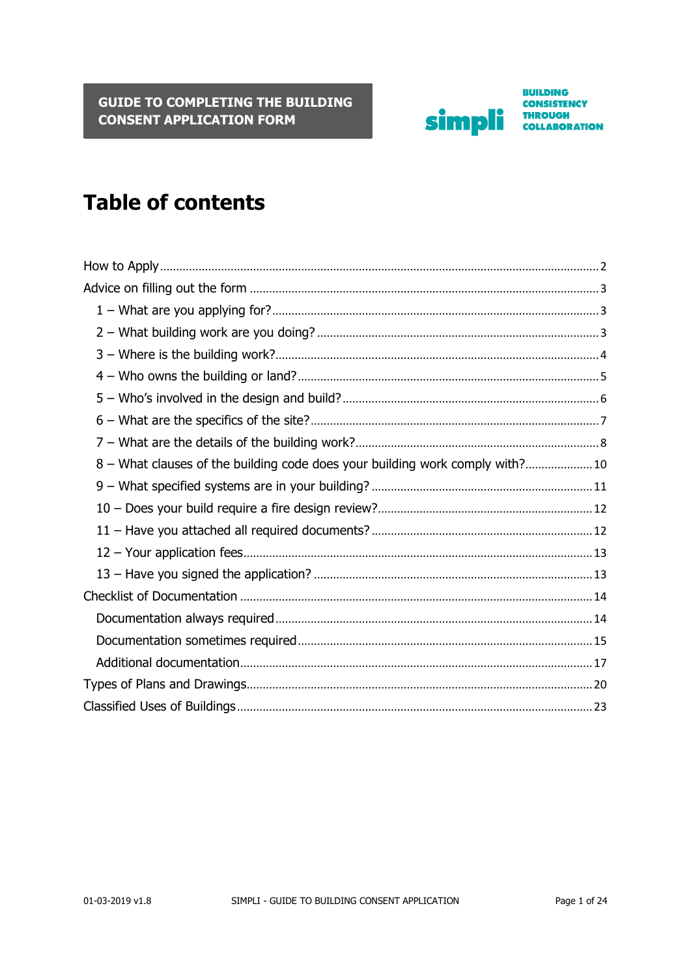

**BUILDING CONSISTENCY** THROUGH<br>COLLABORATION

# **Table of contents**

| 8 – What clauses of the building code does your building work comply with? 10 |  |
|-------------------------------------------------------------------------------|--|
|                                                                               |  |
|                                                                               |  |
|                                                                               |  |
|                                                                               |  |
|                                                                               |  |
|                                                                               |  |
|                                                                               |  |
|                                                                               |  |
|                                                                               |  |
|                                                                               |  |
|                                                                               |  |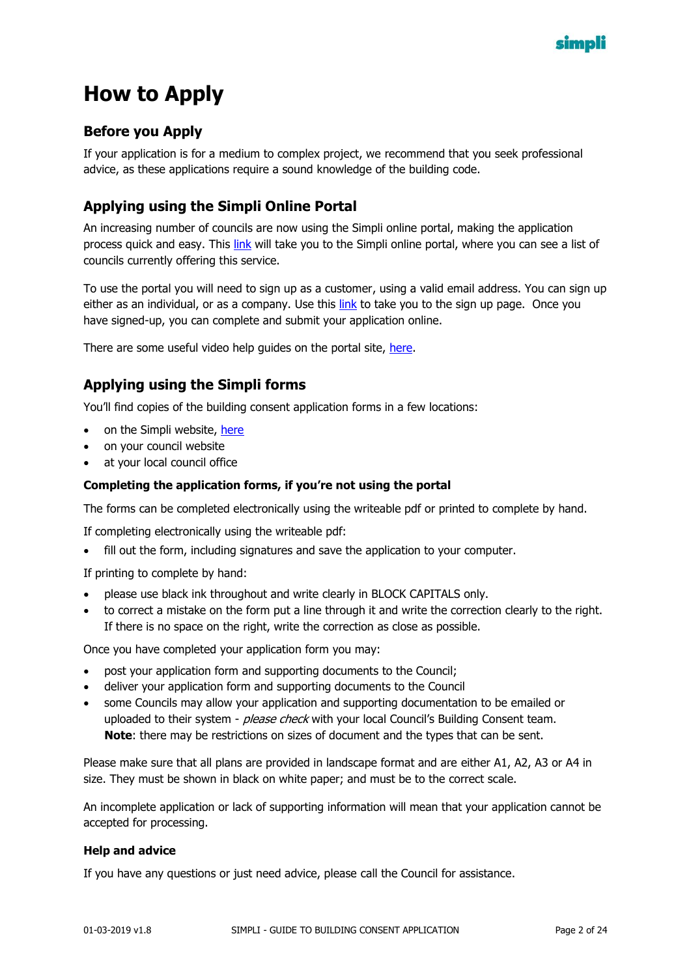

# <span id="page-1-0"></span>**How to Apply**

#### **Before you Apply**

If your application is for a medium to complex project, we recommend that you seek professional advice, as these applications require a sound knowledge of the building code.

#### **Applying using the Simpli Online Portal**

An increasing number of councils are now using the Simpli online portal, making the application process quick and easy. This [link](https://simpli.govt.nz/apply-online) will take you to the Simpli online portal, where you can see a list of councils currently offering this service.

To use the portal you will need to sign up as a customer, using a valid email address. You can sign up either as an individual, or as a company. Use this [link](https://simpli.govt.nz/register) to take you to the sign up page. Once you have signed-up, you can complete and submit your application online.

There are some useful video help guides on the portal site, [here.](https://simpli.govt.nz/apply-online)

#### **Applying using the Simpli forms**

You'll find copies of the building consent application forms in a few locations:

- on the Simpli website, [here](https://simpli.govt.nz/tool-box)
- on your council website
- at your local council office

#### **Completing the application forms, if you're not using the portal**

The forms can be completed electronically using the writeable pdf or printed to complete by hand.

If completing electronically using the writeable pdf:

fill out the form, including signatures and save the application to your computer.

If printing to complete by hand:

- please use black ink throughout and write clearly in BLOCK CAPITALS only.
- to correct a mistake on the form put a line through it and write the correction clearly to the right. If there is no space on the right, write the correction as close as possible.

Once you have completed your application form you may:

- post your application form and supporting documents to the Council;
- deliver your application form and supporting documents to the Council
- some Councils may allow your application and supporting documentation to be emailed or uploaded to their system - *please check* with your local Council's Building Consent team. **Note**: there may be restrictions on sizes of document and the types that can be sent.

Please make sure that all plans are provided in landscape format and are either A1, A2, A3 or A4 in size. They must be shown in black on white paper; and must be to the correct scale.

An incomplete application or lack of supporting information will mean that your application cannot be accepted for processing.

#### **Help and advice**

If you have any questions or just need advice, please call the Council for assistance.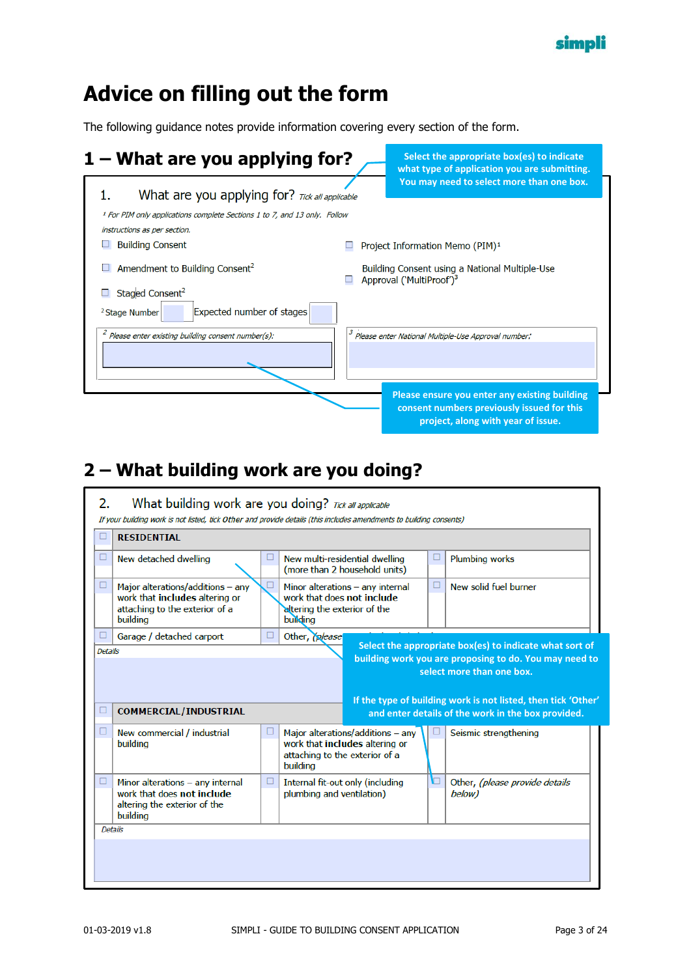

# <span id="page-2-0"></span>**Advice on filling out the form**

The following guidance notes provide information covering every section of the form.

<span id="page-2-1"></span>

| $1 -$ What are you applying for?                                                                                     | Select the appropriate box(es) to indicate<br>what type of application you are submitting.                                        |
|----------------------------------------------------------------------------------------------------------------------|-----------------------------------------------------------------------------------------------------------------------------------|
| What are you applying for? Tick all applicable                                                                       | You may need to select more than one box.                                                                                         |
| <sup>1</sup> For PIM only applications complete Sections 1 to 7, and 13 only. Follow<br>instructions as per section. |                                                                                                                                   |
| <b>Building Consent</b>                                                                                              | Project Information Memo (PIM) <sup>1</sup>                                                                                       |
| Amendment to Building Consent <sup>2</sup>                                                                           | Building Consent using a National Multiple-Use<br>Approval ('MultiProof') <sup>3</sup>                                            |
| Staged Consent <sup>2</sup>                                                                                          |                                                                                                                                   |
| Expected number of stages<br><sup>2</sup> Stage Number                                                               |                                                                                                                                   |
| $\hat{P}$ Please enter existing building consent number(s):                                                          | Please enter National Multiple-Use Approval number:                                                                               |
|                                                                                                                      | Please ensure you enter any existing building<br>consent numbers previously issued for this<br>project, along with year of issue. |

## <span id="page-2-2"></span>**2 – What building work are you doing?**

| 2.                       | What building work are you doing? Tick all applicable<br>If your building work is not listed, tick Other and provide details (this includes amendments to building consents) |                                                                             |                                                                     |   |                                                                                                                                                                                                                                                                       |
|--------------------------|------------------------------------------------------------------------------------------------------------------------------------------------------------------------------|-----------------------------------------------------------------------------|---------------------------------------------------------------------|---|-----------------------------------------------------------------------------------------------------------------------------------------------------------------------------------------------------------------------------------------------------------------------|
| □                        | <b>RESIDENTIAL</b>                                                                                                                                                           |                                                                             |                                                                     |   |                                                                                                                                                                                                                                                                       |
| □                        | New detached dwelling                                                                                                                                                        |                                                                             | New multi-residential dwelling<br>(more than 2 household units)     | □ | <b>Plumbing works</b>                                                                                                                                                                                                                                                 |
| □                        | Major alterations/additions - any<br>work that includes altering or<br>attaching to the exterior of a<br>building                                                            | □<br>work that does not include<br>altering the exterior of the<br>building | Minor alterations - any internal                                    | □ | New solid fuel burner                                                                                                                                                                                                                                                 |
| □<br><b>Details</b><br>⊔ | Garage / detached carport<br><b>COMMERCIAL/INDUSTRIAL</b>                                                                                                                    | Other, <i>please</i><br>□                                                   |                                                                     |   | Select the appropriate box(es) to indicate what sort of<br>building work you are proposing to do. You may need to<br>select more than one box.<br>If the type of building work is not listed, then tick 'Other'<br>and enter details of the work in the box provided. |
| □                        | New commercial / industrial<br>buildina                                                                                                                                      | ⊔<br>attaching to the exterior of a<br>buildina                             | Major alterations/additions - any<br>work that includes altering or |   | Seismic strengthening                                                                                                                                                                                                                                                 |
| □                        | Minor alterations - any internal<br>work that does not include<br>altering the exterior of the<br>buildina                                                                   | □<br>plumbing and ventilation)                                              | Internal fit-out only (including                                    | ◘ | Other, (please provide details<br>below)                                                                                                                                                                                                                              |
| <b>Details</b>           |                                                                                                                                                                              |                                                                             |                                                                     |   |                                                                                                                                                                                                                                                                       |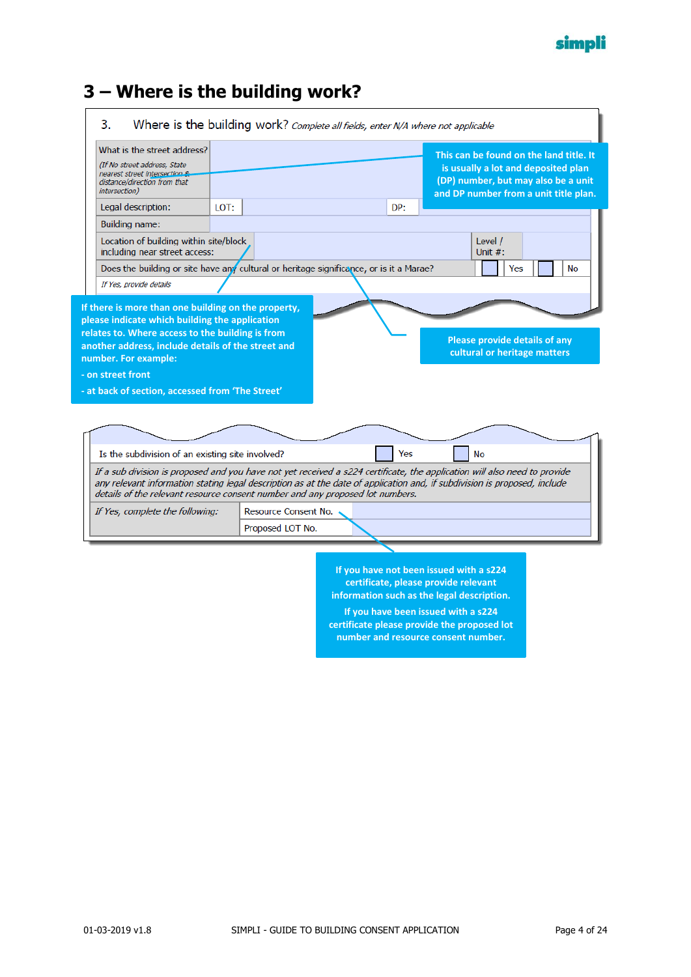

#### <span id="page-3-0"></span>**3 – Where is the building work?**

| 3.<br>Where is the building work? Complete all fields, enter N/A where not applicable                                                                                                                                                                                                                                                   |      |                      |     |                                                                                                                                                                      |           |
|-----------------------------------------------------------------------------------------------------------------------------------------------------------------------------------------------------------------------------------------------------------------------------------------------------------------------------------------|------|----------------------|-----|----------------------------------------------------------------------------------------------------------------------------------------------------------------------|-----------|
| What is the street address?<br>(If No street address, State<br>nearest street intersection &<br>distance/direction from that<br>intersection)                                                                                                                                                                                           |      |                      |     | This can be found on the land title. It<br>is usually a lot and deposited plan<br>(DP) number, but may also be a unit<br>and DP number from a unit title plan.       |           |
| Legal description:                                                                                                                                                                                                                                                                                                                      | LOT: |                      | DP: |                                                                                                                                                                      |           |
| Building name:                                                                                                                                                                                                                                                                                                                          |      |                      |     |                                                                                                                                                                      |           |
| Location of building within site/block<br>including near street access:                                                                                                                                                                                                                                                                 |      |                      |     | Level /<br>Unit $#$ :                                                                                                                                                |           |
| Does the building or site have any cultural or heritage significance, or is it a Marae?                                                                                                                                                                                                                                                 |      |                      |     | Yes                                                                                                                                                                  | <b>No</b> |
| If Yes, provide details                                                                                                                                                                                                                                                                                                                 |      |                      |     |                                                                                                                                                                      |           |
| If there is more than one building on the property,<br>please indicate which building the application<br>relates to. Where access to the building is from<br>another address, include details of the street and<br>number. For example:<br>- on street front                                                                            |      |                      |     | <b>Please provide details of any</b><br>cultural or heritage matters                                                                                                 |           |
| - at back of section, accessed from 'The Street'                                                                                                                                                                                                                                                                                        |      |                      |     |                                                                                                                                                                      |           |
| Is the subdivision of an existing site involved?                                                                                                                                                                                                                                                                                        |      |                      | Yes | <b>No</b>                                                                                                                                                            |           |
| If a sub division is proposed and you have not yet received a s224 certificate, the application will also need to provide<br>any relevant information stating legal description as at the date of application and, if subdivision is proposed, include<br>details of the relevant resource consent number and any proposed lot numbers. |      |                      |     |                                                                                                                                                                      |           |
| If Yes, complete the following:                                                                                                                                                                                                                                                                                                         |      | Resource Consent No. |     |                                                                                                                                                                      |           |
|                                                                                                                                                                                                                                                                                                                                         |      | Proposed LOT No.     |     |                                                                                                                                                                      |           |
|                                                                                                                                                                                                                                                                                                                                         |      |                      |     |                                                                                                                                                                      |           |
|                                                                                                                                                                                                                                                                                                                                         |      |                      |     | If you have not been issued with a s224<br>certificate, please provide relevant<br>information such as the legal description.<br>If you have been issued with a s224 |           |
|                                                                                                                                                                                                                                                                                                                                         |      |                      |     | certificate please provide the proposed lot                                                                                                                          |           |

**number and resource consent number.**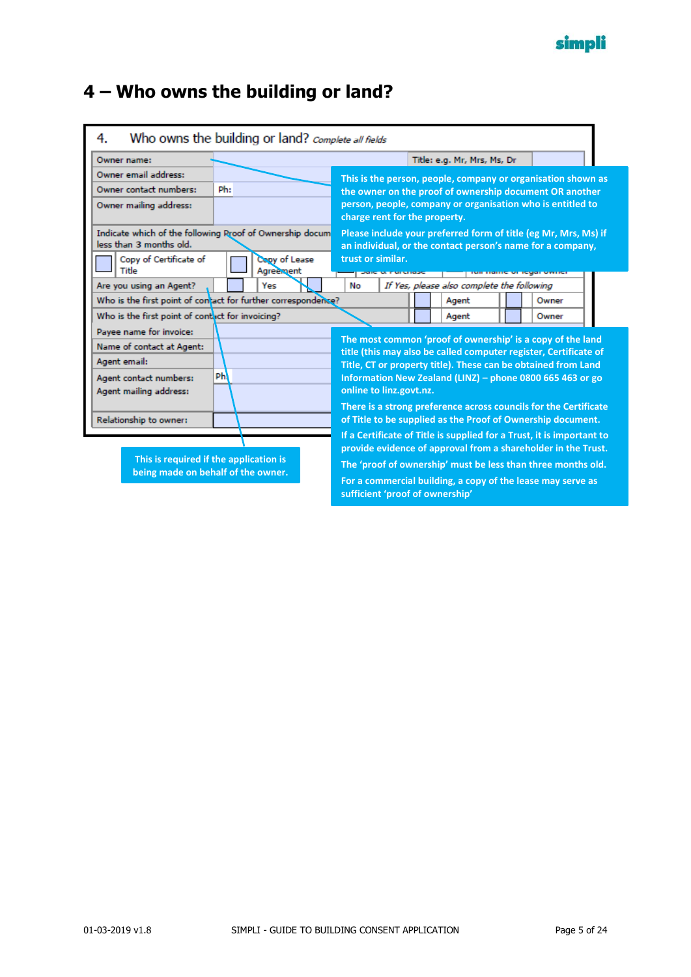## <span id="page-4-0"></span>**4 – Who owns the building or land?**

| Who owns the building or land? Complete all fields<br>4.                                                                 |           |                            |                                 |                                            |                                                                                                                                                                                                                                                                                                                                  |  |
|--------------------------------------------------------------------------------------------------------------------------|-----------|----------------------------|---------------------------------|--------------------------------------------|----------------------------------------------------------------------------------------------------------------------------------------------------------------------------------------------------------------------------------------------------------------------------------------------------------------------------------|--|
| Owner name:                                                                                                              |           |                            |                                 | Title: e.g. Mr, Mrs, Ms, Dr                |                                                                                                                                                                                                                                                                                                                                  |  |
| Owner email address:<br>Owner contact numbers:<br>Owner mailing address:                                                 | Ph:       |                            | charge rent for the property.   |                                            | This is the person, people, company or organisation shown as<br>the owner on the proof of ownership document OR another<br>person, people, company or organisation who is entitled to                                                                                                                                            |  |
| Indicate which of the following Rroof of Ownership docum<br>less than 3 months old.<br>Copy of Certificate of<br>Title   |           | Cooy of Lease<br>Agreement | trust or similar.               |                                            | Please include your preferred form of title (eg Mr, Mrs, Ms) if<br>an individual, or the contact person's name for a company,                                                                                                                                                                                                    |  |
| Are you using an Agent?                                                                                                  |           | Yes                        | No                              | If Yes, please also complete the following | <b>TUR HOME VE RIVOL VWHC</b>                                                                                                                                                                                                                                                                                                    |  |
| Who is the first point of contact for further correspondence?                                                            |           |                            |                                 | Agent                                      | Owner                                                                                                                                                                                                                                                                                                                            |  |
| Who is the first point of contact for invoicing?                                                                         |           |                            |                                 | Agent                                      | Owner                                                                                                                                                                                                                                                                                                                            |  |
| Payee name for invoice:<br>Name of contact at Agent:<br>Agent email:<br>Agent contact numbers:<br>Agent mailing address: | <b>Ph</b> |                            | online to linz.govt.nz.         |                                            | The most common 'proof of ownership' is a copy of the land<br>title (this may also be called computer register, Certificate of<br>Title, CT or property title). These can be obtained from Land<br>Information New Zealand (LINZ) - phone 0800 665 463 or go<br>There is a strong preference across councils for the Certificate |  |
| Relationship to owner:                                                                                                   |           |                            |                                 |                                            | of Title to be supplied as the Proof of Ownership document.<br>If a Certificate of Title is supplied for a Trust, it is important to                                                                                                                                                                                             |  |
| This is required if the application is<br>being made on behalf of the owner.                                             |           |                            | sufficient 'proof of ownership' |                                            | provide evidence of approval from a shareholder in the Trust.<br>The 'proof of ownership' must be less than three months old.<br>For a commercial building, a copy of the lease may serve as                                                                                                                                     |  |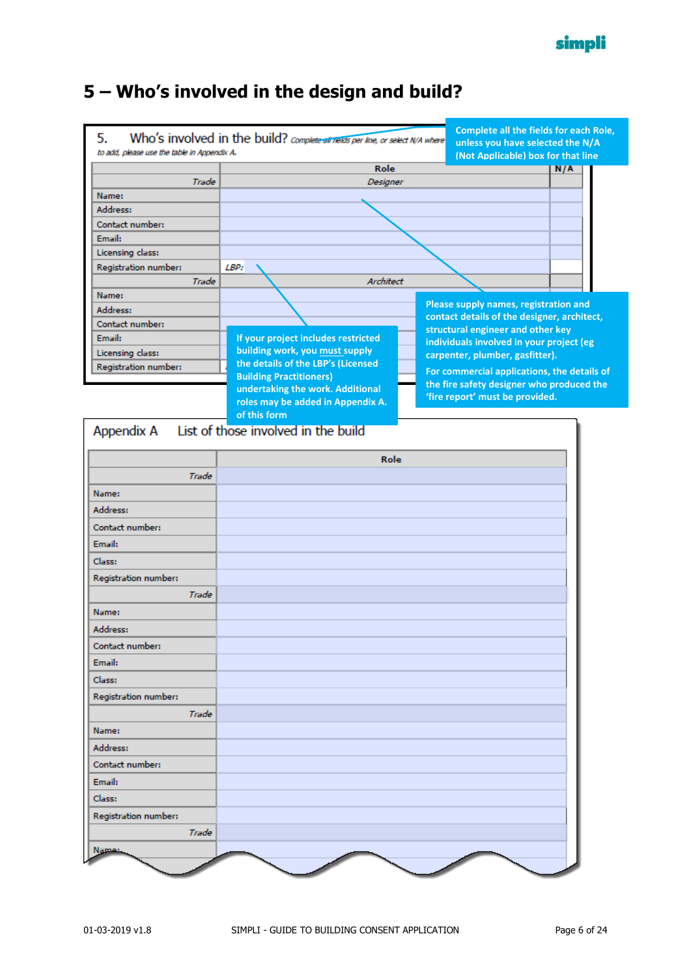

## <span id="page-5-0"></span>**5 – Who's involved in the design and build?**

|                                                   |                                                                                | <b>Complete all the fields for each Role,</b> |     |
|---------------------------------------------------|--------------------------------------------------------------------------------|-----------------------------------------------|-----|
| 5.<br>to add, please use the table in Appendix A. | Who's involved in the build? Complete air rields per line, or select N/A where | unless you have selected the N/A              |     |
|                                                   | Role                                                                           | (Not Applicable) box for that line            |     |
| Trade                                             | Designer                                                                       |                                               | N/A |
| Name:                                             |                                                                                |                                               |     |
| Address:                                          |                                                                                |                                               |     |
| Contact number:                                   |                                                                                |                                               |     |
| Email:                                            |                                                                                |                                               |     |
| Licensing class:                                  |                                                                                |                                               |     |
| Registration number:                              | LBP:                                                                           |                                               |     |
| Trade                                             | Architect                                                                      |                                               |     |
| Name:                                             |                                                                                | Please supply names, registration and         |     |
| Address:                                          |                                                                                | contact details of the designer, architect,   |     |
| Contact number:                                   |                                                                                | structural engineer and other key             |     |
| Email:                                            | If your project includes restricted                                            | individuals involved in your project (eg      |     |
| Licensing class:                                  | building work, you must supply<br>the details of the LBP's (Licensed           | carpenter, plumber, gasfitter).               |     |
| Registration number:                              | <b>Building Practitioners)</b>                                                 | For commercial applications, the details of   |     |
|                                                   | undertaking the work. Additional                                               | the fire safety designer who produced the     |     |
|                                                   | roles may be added in Appendix A.                                              | 'fire report' must be provided.               |     |
|                                                   | of this form                                                                   |                                               |     |
| Appendix A                                        | List of those involved in the build                                            |                                               |     |
|                                                   | Role                                                                           |                                               |     |
| Trade                                             |                                                                                |                                               |     |
| Name:                                             |                                                                                |                                               |     |
| Address:                                          |                                                                                |                                               |     |
| Contact number:                                   |                                                                                |                                               |     |
| Email:                                            |                                                                                |                                               |     |
| Class:                                            |                                                                                |                                               |     |
| Registration number:                              |                                                                                |                                               |     |
| Trade                                             |                                                                                |                                               |     |
| Name:                                             |                                                                                |                                               |     |
| Address:                                          |                                                                                |                                               |     |
| Contact number:                                   |                                                                                |                                               |     |
| Email:                                            |                                                                                |                                               |     |
| classe                                            |                                                                                |                                               |     |

| GldSS:               |  |
|----------------------|--|
| Registration number: |  |
| Trade                |  |
| Name:                |  |
| Address:             |  |
| Contact number:      |  |
| Email:               |  |
| Class:               |  |
| Registration number: |  |
| Trade                |  |
| Name:                |  |
|                      |  |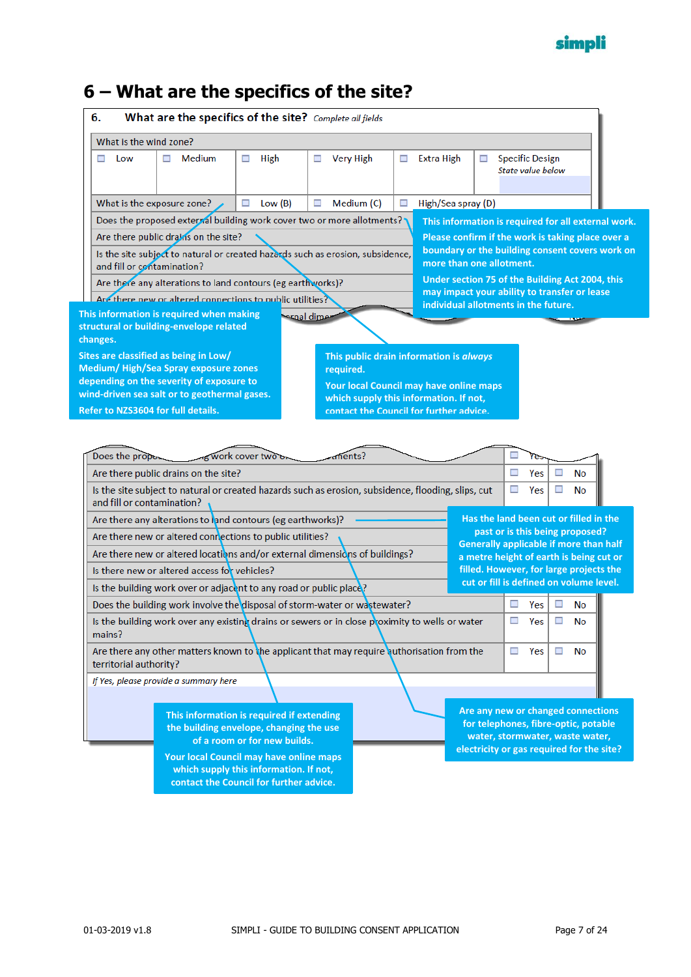

## <span id="page-6-0"></span>**6 – What are the specifics of the site?**

| What is the wind zone?                                                           |                                                                                                                                                                              |                                                                                   |                       |   |                                                                                      |   |                                                                                    |    |          |
|----------------------------------------------------------------------------------|------------------------------------------------------------------------------------------------------------------------------------------------------------------------------|-----------------------------------------------------------------------------------|-----------------------|---|--------------------------------------------------------------------------------------|---|------------------------------------------------------------------------------------|----|----------|
| Low<br>□                                                                         | Medium<br>□                                                                                                                                                                  | High<br>□                                                                         | <b>Very High</b><br>□ | □ | <b>Extra High</b>                                                                    | □ | <b>Specific Design</b><br>State value below                                        |    |          |
|                                                                                  | What is the exposure zone?                                                                                                                                                   | Low(B)<br>□                                                                       | Medium (C)<br>□       | □ | High/Sea spray (D)                                                                   |   |                                                                                    |    |          |
|                                                                                  | Does the proposed external building work cover two or more allotments?                                                                                                       |                                                                                   |                       |   | This information is required for all external work.                                  |   |                                                                                    |    |          |
|                                                                                  | Are there public drains on the site?                                                                                                                                         |                                                                                   |                       |   | Please confirm if the work is taking place over a                                    |   |                                                                                    |    |          |
| and fill or contamination?                                                       | Is the site subject to natural or created hazards such as erosion, subsidence,                                                                                               |                                                                                   |                       |   | boundary or the building consent covers work on<br>more than one allotment.          |   |                                                                                    |    |          |
|                                                                                  | Are there any alterations to land contours (eg earthworks)?                                                                                                                  |                                                                                   |                       |   | Under section 75 of the Building Act 2004, this                                      |   |                                                                                    |    |          |
|                                                                                  | Are there new or altered connections to public utilities?                                                                                                                    |                                                                                   |                       |   | may impact your ability to transfer or lease<br>individual allotments in the future. |   |                                                                                    |    |          |
|                                                                                  | This information is required when making                                                                                                                                     |                                                                                   | معية اهته             |   |                                                                                      |   |                                                                                    |    |          |
| changes.                                                                         | structural or building-envelope related                                                                                                                                      |                                                                                   |                       |   |                                                                                      |   |                                                                                    |    |          |
|                                                                                  | Sites are classified as being in Low/                                                                                                                                        |                                                                                   |                       |   | This public drain information is always                                              |   |                                                                                    |    |          |
|                                                                                  | Medium/High/Sea Spray exposure zones                                                                                                                                         |                                                                                   | required.             |   |                                                                                      |   |                                                                                    |    |          |
|                                                                                  | depending on the severity of exposure to                                                                                                                                     |                                                                                   |                       |   | Your local Council may have online maps                                              |   |                                                                                    |    |          |
|                                                                                  | wind-driven sea salt or to geothermal gases.                                                                                                                                 |                                                                                   |                       |   | which supply this information. If not,                                               |   |                                                                                    |    |          |
|                                                                                  | Refer to NZS3604 for full details.                                                                                                                                           |                                                                                   |                       |   |                                                                                      |   |                                                                                    |    |          |
|                                                                                  |                                                                                                                                                                              | ag work cover two on                                                              | ments?                |   | contact the Council for further advice.                                              |   |                                                                                    |    |          |
|                                                                                  | Are there public drains on the site?<br>Is the site subject to natural or created hazards such as erosion, subsidence, flooding, slips, cut                                  |                                                                                   |                       |   |                                                                                      |   | □<br>Yes<br>□<br>Yes                                                               |    | No<br>No |
|                                                                                  |                                                                                                                                                                              |                                                                                   |                       |   |                                                                                      |   |                                                                                    |    |          |
|                                                                                  | Are there any alterations to land contours (eg earthworks)?                                                                                                                  |                                                                                   |                       |   |                                                                                      |   | Has the land been cut or filled in the<br>past or is this being proposed?          |    |          |
|                                                                                  | Are there new or altered connections to public utilities?                                                                                                                    |                                                                                   |                       |   |                                                                                      |   | <b>Generally applicable if more than half</b>                                      |    |          |
|                                                                                  | Are there new or altered locations and/or external dimensions of buildings?                                                                                                  |                                                                                   |                       |   |                                                                                      |   | a metre height of earth is being cut or                                            |    |          |
|                                                                                  | Is there new or altered access for vehicles?                                                                                                                                 |                                                                                   |                       |   |                                                                                      |   | filled. However, for large projects the<br>cut or fill is defined on volume level. |    |          |
|                                                                                  | Is the building work over or adjacent to any road or public place?                                                                                                           |                                                                                   |                       |   |                                                                                      |   |                                                                                    |    |          |
|                                                                                  | Does the building work involve the disposal of storm-water or wastewater?<br>Is the building work over any existing drains or sewers or in close proximity to wells or water |                                                                                   |                       |   |                                                                                      |   | Yes<br>Yes                                                                         | ΝO | No       |
|                                                                                  | Are there any other matters known to the applicant that may require authorisation from the                                                                                   |                                                                                   |                       |   |                                                                                      |   | $\Box$<br>Yes                                                                      | □  | No       |
|                                                                                  | If Yes, please provide a summary here                                                                                                                                        |                                                                                   |                       |   |                                                                                      |   |                                                                                    |    |          |
|                                                                                  |                                                                                                                                                                              |                                                                                   |                       |   |                                                                                      |   |                                                                                    |    |          |
|                                                                                  |                                                                                                                                                                              | This information is required if extending                                         |                       |   |                                                                                      |   | Are any new or changed connections                                                 |    |          |
|                                                                                  |                                                                                                                                                                              | the building envelope, changing the use                                           |                       |   |                                                                                      |   | for telephones, fibre-optic, potable                                               |    |          |
|                                                                                  |                                                                                                                                                                              | of a room or for new builds.                                                      |                       |   |                                                                                      |   | water, stormwater, waste water,<br>electricity or gas required for the site?       |    |          |
| Does the propo<br>and fill or contamination?<br>mains?<br>territorial authority? |                                                                                                                                                                              | Your local Council may have online maps<br>which supply this information. If not, |                       |   |                                                                                      |   |                                                                                    |    |          |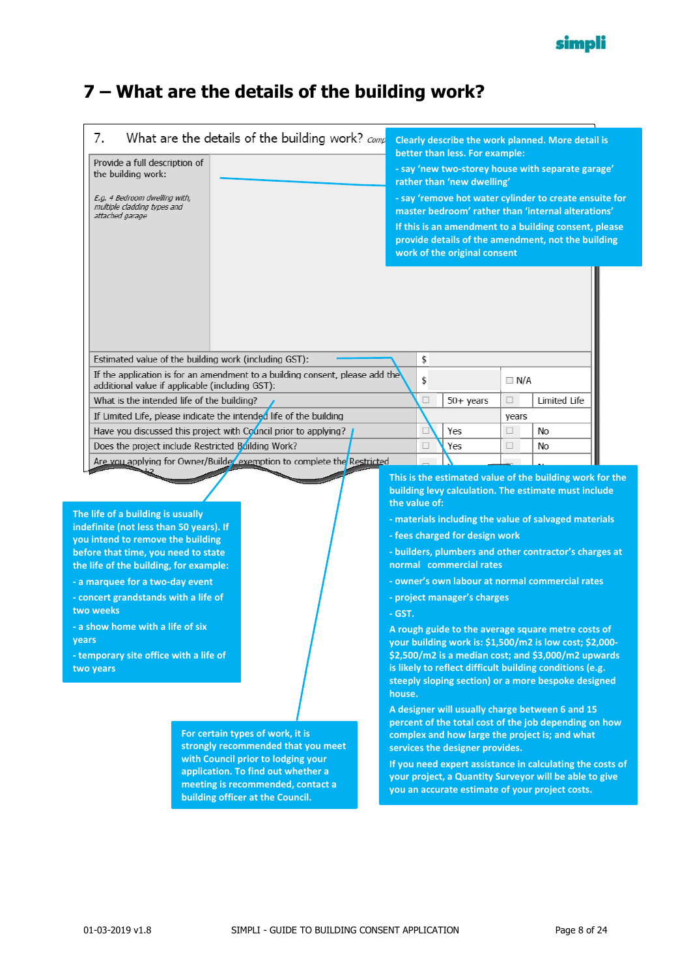

## <span id="page-7-0"></span>**7 – What are the details of the building work?**

| 7.<br>Provide a full description of<br>the building work:<br>E.g. 4 Bedroom dwelling with,<br>multiple cladding types and<br>attached garage                                                                                                                                                                                                                                                   | What are the details of the building work? $_{Comp}$                                                                                                                                                                        |                                    |          | Clearly describe the work planned. More detail is<br>better than less. For example:<br>- say 'new two-storey house with separate garage'<br>rather than 'new dwelling'<br>- say 'remove hot water cylinder to create ensuite for<br>master bedroom' rather than 'internal alterations'<br>If this is an amendment to a building consent, please<br>provide details of the amendment, not the building<br>work of the original consent                                                                                                                                                                             |            |              |  |
|------------------------------------------------------------------------------------------------------------------------------------------------------------------------------------------------------------------------------------------------------------------------------------------------------------------------------------------------------------------------------------------------|-----------------------------------------------------------------------------------------------------------------------------------------------------------------------------------------------------------------------------|------------------------------------|----------|-------------------------------------------------------------------------------------------------------------------------------------------------------------------------------------------------------------------------------------------------------------------------------------------------------------------------------------------------------------------------------------------------------------------------------------------------------------------------------------------------------------------------------------------------------------------------------------------------------------------|------------|--------------|--|
| Estimated value of the building work (including GST):                                                                                                                                                                                                                                                                                                                                          | If the application is for an amendment to a building consent, please add the                                                                                                                                                |                                    | \$<br>\$ |                                                                                                                                                                                                                                                                                                                                                                                                                                                                                                                                                                                                                   | $\Box$ N/A |              |  |
| additional value if applicable (including GST):<br>What is the intended life of the building?                                                                                                                                                                                                                                                                                                  |                                                                                                                                                                                                                             |                                    | □        | $50+$ years                                                                                                                                                                                                                                                                                                                                                                                                                                                                                                                                                                                                       | □          | Limited Life |  |
|                                                                                                                                                                                                                                                                                                                                                                                                | If Limited Life, please indicate the intended life of the building                                                                                                                                                          |                                    |          |                                                                                                                                                                                                                                                                                                                                                                                                                                                                                                                                                                                                                   | years      |              |  |
|                                                                                                                                                                                                                                                                                                                                                                                                | Have you discussed this project with Council prior to applying?                                                                                                                                                             |                                    | П        | Yes                                                                                                                                                                                                                                                                                                                                                                                                                                                                                                                                                                                                               | $\Box$     | No           |  |
| Does the project include Restricted Building Work?                                                                                                                                                                                                                                                                                                                                             |                                                                                                                                                                                                                             |                                    | П        | Yes                                                                                                                                                                                                                                                                                                                                                                                                                                                                                                                                                                                                               | □          | No           |  |
|                                                                                                                                                                                                                                                                                                                                                                                                | Are you applying for Owner/Builder exemption to complete the Restricted                                                                                                                                                     |                                    |          |                                                                                                                                                                                                                                                                                                                                                                                                                                                                                                                                                                                                                   |            |              |  |
| The life of a building is usually<br>indefinite (not less than 50 years). If<br>you intend to remove the building<br>before that time, you need to state<br>the life of the building, for example:<br>- a marquee for a two-day event<br>- concert grandstands with a life of<br>two weeks<br>- a show home with a life of six<br>years<br>- temporary site office with a life of<br>two years |                                                                                                                                                                                                                             | the value of:<br>$-GST.$<br>house. |          | building levy calculation. The estimate must include<br>- materials including the value of salvaged materials<br>- fees charged for design work<br>- builders, plumbers and other contractor's charges at<br>normal commercial rates<br>- owner's own labour at normal commercial rates<br>- project manager's charges<br>A rough guide to the average square metre costs of<br>your building work is: \$1,500/m2 is low cost; \$2,000-<br>\$2,500/m2 is a median cost; and \$3,000/m2 upwards<br>is likely to reflect difficult building conditions (e.g.<br>steeply sloping section) or a more bespoke designed |            |              |  |
|                                                                                                                                                                                                                                                                                                                                                                                                | For certain types of work, it is<br>strongly recommended that you meet<br>with Council prior to lodging your<br>application. To find out whether a<br>meeting is recommended, contact a<br>building officer at the Council. |                                    |          | A designer will usually charge between 6 and 15<br>percent of the total cost of the job depending on how<br>complex and how large the project is; and what<br>services the designer provides.<br>If you need expert assistance in calculating the costs of<br>your project, a Quantity Surveyor will be able to give<br>you an accurate estimate of your project costs.                                                                                                                                                                                                                                           |            |              |  |

**two weeks**

**years**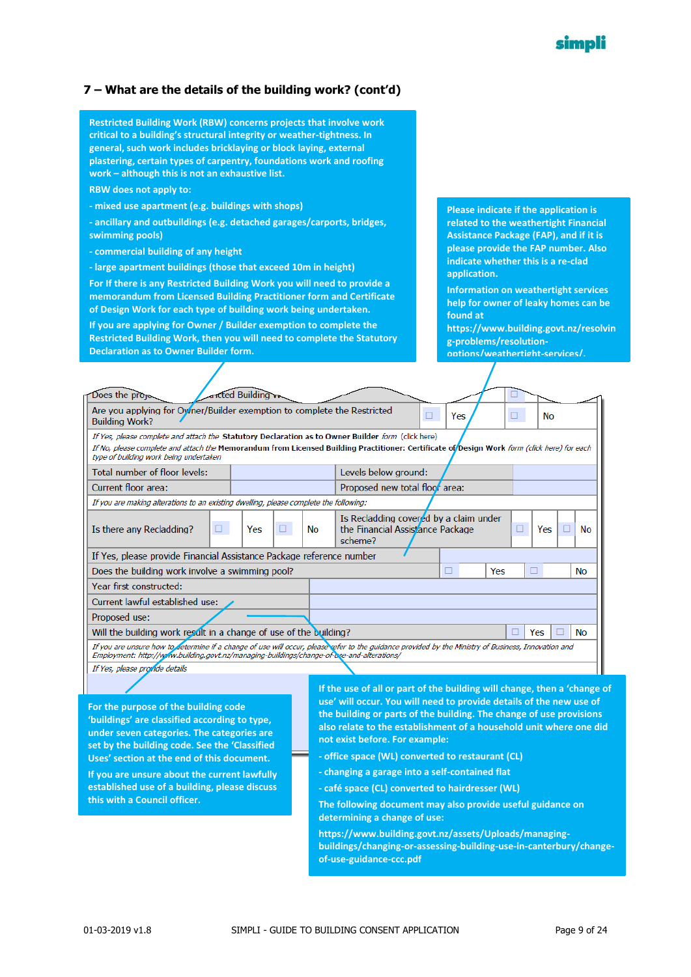#### simpli

#### **7 – What are the details of the building work? (cont'd)**

**Restricted Building Work (RBW) concerns projects that involve work critical to a building's structural integrity or weather-tightness. In general, such work includes bricklaying or block laying, external plastering, certain types of carpentry, foundations work and roofing work – although this is not an exhaustive list.**

**RBW does not apply to:**

- **- mixed use apartment (e.g. buildings with shops)**
- **- ancillary and outbuildings (e.g. detached garages/carports, bridges, swimming pools)**
- **- commercial building of any height**
- **- large apartment buildings (those that exceed 10m in height)**

**For If there is any Restricted Building Work you will need to provide a memorandum from Licensed Building Practitioner form and Certificate of Design Work for each type of building work being undertaken.** 

**If you are applying for Owner / Builder exemption to complete the Restricted Building Work, then you will need to complete the Statutory Declaration as to Owner Builder form.**

**Please indicate if the application is related to the weathertight Financial Assistance Package (FAP), and if it is please provide the FAP number. Also indicate whether this is a re-clad application.**

**Information on weathertight services help for owner of leaky homes can be found at** 

**https://www.building.govt.nz/resolvin g-problems/resolutionoptions/weathertight-services/.**

| Does the proje-                                                                                                                                                                                                                                                                                    |        | <b>Incted Building</b> |    |    |                                                                                       |     |     |           |   |    |
|----------------------------------------------------------------------------------------------------------------------------------------------------------------------------------------------------------------------------------------------------------------------------------------------------|--------|------------------------|----|----|---------------------------------------------------------------------------------------|-----|-----|-----------|---|----|
| Are you applying for Oymer/Builder exemption to complete the Restricted<br><b>Building Work?</b>                                                                                                                                                                                                   |        |                        |    |    | п                                                                                     | Yes | ⊔   | <b>No</b> |   |    |
| If Yes, please complete and attach the Statutory Declaration as to Owner Builder form (click here)<br>If No, please complete and attach the Memorandum from Licensed Building Practitioner: Certificate of <i>Design Work form (click here) for each</i><br>type of building work being undertaken |        |                        |    |    |                                                                                       |     |     |           |   |    |
| Total number of floor levels:                                                                                                                                                                                                                                                                      |        |                        |    |    | Levels below ground:                                                                  |     |     |           |   |    |
| Current floor area:                                                                                                                                                                                                                                                                                |        |                        |    |    | Proposed new total floor area:                                                        |     |     |           |   |    |
| If you are making alterations to an existing dwelling, please complete the following:                                                                                                                                                                                                              |        |                        |    |    |                                                                                       |     |     |           |   |    |
| Is there any Recladding?                                                                                                                                                                                                                                                                           | $\Box$ | Yes                    | □. | No | Is Recladding covered by a claim under<br>the Financial Assistance Package<br>scheme? |     |     | Yes<br>□  | п | No |
| If Yes, please provide Financial Assistance Package reference number                                                                                                                                                                                                                               |        |                        |    |    |                                                                                       |     |     |           |   |    |
| Does the building work involve a swimming pool?                                                                                                                                                                                                                                                    |        |                        |    |    |                                                                                       | ப   | Yes |           |   | No |
| Year first constructed:                                                                                                                                                                                                                                                                            |        |                        |    |    |                                                                                       |     |     |           |   |    |
| Current lawful established use:                                                                                                                                                                                                                                                                    |        |                        |    |    |                                                                                       |     |     |           |   |    |
| Proposed use:                                                                                                                                                                                                                                                                                      |        |                        |    |    |                                                                                       |     |     |           |   |    |
| Will the building work result in a change of use of the building?                                                                                                                                                                                                                                  |        |                        |    |    |                                                                                       |     | п   | Yes       |   | No |
| If you are unsure how to determine if a change of use will occur, please refer to the quidance provided by the Ministry of Business, Innovation and<br>Employment: http://www.building.govt.nz/managing-buildings/change-of-bse-and-alterations/                                                   |        |                        |    |    |                                                                                       |     |     |           |   |    |
| If Yes, please provide details                                                                                                                                                                                                                                                                     |        |                        |    |    |                                                                                       |     |     |           |   |    |

**For the purpose of the building code 'buildings' are classified according to type, under seven categories. The categories are set by the building code. See the 'Classified Uses' section at the end of this document.**

**If you are unsure about the current lawfully established use of a building, please discuss this with a Council officer.**

**If the use of all or part of the building will change, then a 'change of use' will occur. You will need to provide details of the new use of the building or parts of the building. The change of use provisions also relate to the establishment of a household unit where one did not exist before. For example:**

- **- office space (WL) converted to restaurant (CL)**
- **- changing a garage into a self-contained flat**
- **- café space (CL) converted to hairdresser (WL)**
- **The following document may also provide useful guidance on determining a change of use:**

**https://www.building.govt.nz/assets/Uploads/managingbuildings/changing-or-assessing-building-use-in-canterbury/changeof-use-guidance-ccc.pdf**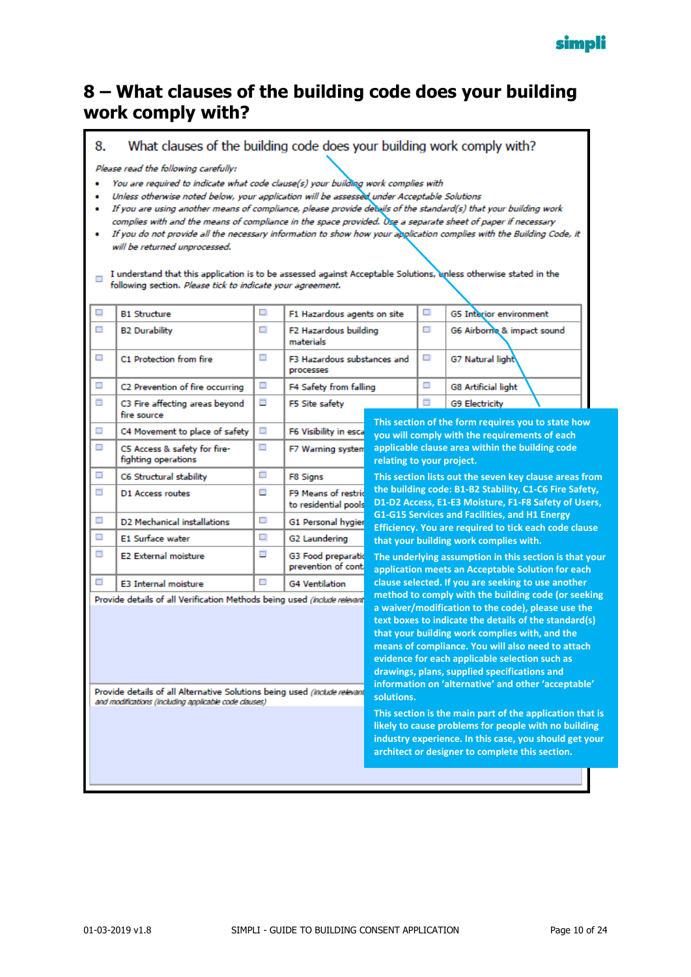

#### <span id="page-9-0"></span>**8 – What clauses of the building code does your building work comply with?**

8. What clauses of the building code does your building work comply with?

Please read the following carefully:

- · You are required to indicate what code clause(s) your building work complies with
- . Unless otherwise noted below, your application will be assessed under Acceptable Solutions
- · If you are using another means of compliance, please provide details of the standard(s) that your building work complies with and the means of compliance in the space provided. Use a separate sheet of paper if necessary
- If you do not provide all the necessary information to show how your application complies with the Building Code, it will be returned unprocessed.

I understand that this application is to be assessed against Acceptable Solutions, unless otherwise stated in the following section. Please tick to indicate your agreement.

| ⊔      | <b>B1 Structure</b>                                                                                                                                                                                            | ப | F1 Hazardous agents on site                     |                           | ш | <b>G5</b> Interior environment                                                                                                                                                                                                                                                                                                                                                                                                                                                                                                                         |  |
|--------|----------------------------------------------------------------------------------------------------------------------------------------------------------------------------------------------------------------|---|-------------------------------------------------|---------------------------|---|--------------------------------------------------------------------------------------------------------------------------------------------------------------------------------------------------------------------------------------------------------------------------------------------------------------------------------------------------------------------------------------------------------------------------------------------------------------------------------------------------------------------------------------------------------|--|
| □      | <b>B2 Durability</b>                                                                                                                                                                                           | П | F2 Hazardous building<br>materials              |                           | п | G6 Airborne & impact sound                                                                                                                                                                                                                                                                                                                                                                                                                                                                                                                             |  |
| □      | C1 Protection from fire                                                                                                                                                                                        | □ | <b>F3 Hazardous substances and</b><br>processes |                           | □ | <b>G7 Natural light</b>                                                                                                                                                                                                                                                                                                                                                                                                                                                                                                                                |  |
| □      | C2 Prevention of fire occurring                                                                                                                                                                                | π | F4 Safety from falling                          |                           | □ | <b>G8 Artificial light</b>                                                                                                                                                                                                                                                                                                                                                                                                                                                                                                                             |  |
| $\Box$ | C3 Fire affecting areas beyond<br>fire source                                                                                                                                                                  | Ξ | F5 Site safety                                  |                           | π | <b>G9 Electricity</b><br>This section of the form requires you to state how                                                                                                                                                                                                                                                                                                                                                                                                                                                                            |  |
| □      | C4 Movement to place of safety                                                                                                                                                                                 | π | F6 Visibility in esca                           |                           |   | you will comply with the requirements of each                                                                                                                                                                                                                                                                                                                                                                                                                                                                                                          |  |
| $\Box$ | C5 Access & safety for fire-<br>fighting operations                                                                                                                                                            | Ξ | F7 Warning systen                               | relating to your project. |   | applicable clause area within the building code                                                                                                                                                                                                                                                                                                                                                                                                                                                                                                        |  |
| □      | C6 Structural stability                                                                                                                                                                                        | □ | F8 Signs                                        |                           |   | This section lists out the seven key clause areas from                                                                                                                                                                                                                                                                                                                                                                                                                                                                                                 |  |
| Ξ      | D1 Access routes                                                                                                                                                                                               | o | F9 Means of restric<br>to residential pools     |                           |   | the building code: B1-B2 Stability, C1-C6 Fire Safety,<br>D1-D2 Access, E1-E3 Moisture, F1-F8 Safety of Users,                                                                                                                                                                                                                                                                                                                                                                                                                                         |  |
| π      | D2 Mechanical installations                                                                                                                                                                                    | O | G1 Personal hygier                              |                           |   | G1-G15 Services and Facilities, and H1 Energy<br>Efficiency. You are required to tick each code clause                                                                                                                                                                                                                                                                                                                                                                                                                                                 |  |
| □      | E1 Surface water                                                                                                                                                                                               | □ | G2 Laundering                                   |                           |   | that your building work complies with.                                                                                                                                                                                                                                                                                                                                                                                                                                                                                                                 |  |
| $\Box$ | <b>E2 External moisture</b>                                                                                                                                                                                    | Ξ | G3 Food preparatio<br>prevention of cont        |                           |   | The underlying assumption in this section is that your<br>application meets an Acceptable Solution for each                                                                                                                                                                                                                                                                                                                                                                                                                                            |  |
| □      | <b>E3 Internal moisture</b>                                                                                                                                                                                    | □ | <b>G4 Ventilation</b>                           |                           |   | clause selected. If you are seeking to use another                                                                                                                                                                                                                                                                                                                                                                                                                                                                                                     |  |
|        | Provide details of all Verification Methods being used (Include relevant<br>Provide details of all Alternative Solutions being used (Include relevant<br>and modifications (including applicable code clauses) |   |                                                 | solutions.                |   | method to comply with the building code (or seeking<br>a waiver/modification to the code), please use the<br>text boxes to indicate the details of the standard(s)<br>that your building work complies with, and the<br>means of compliance. You will also need to attach<br>evidence for each applicable selection such as<br>drawings, plans, supplied specifications and<br>information on 'alternative' and other 'acceptable'<br>This section is the main part of the application that is<br>likely to cause problems for people with no building |  |
|        |                                                                                                                                                                                                                |   |                                                 |                           |   | industry experience. In this case, you should get your<br>architect or designer to complete this section.                                                                                                                                                                                                                                                                                                                                                                                                                                              |  |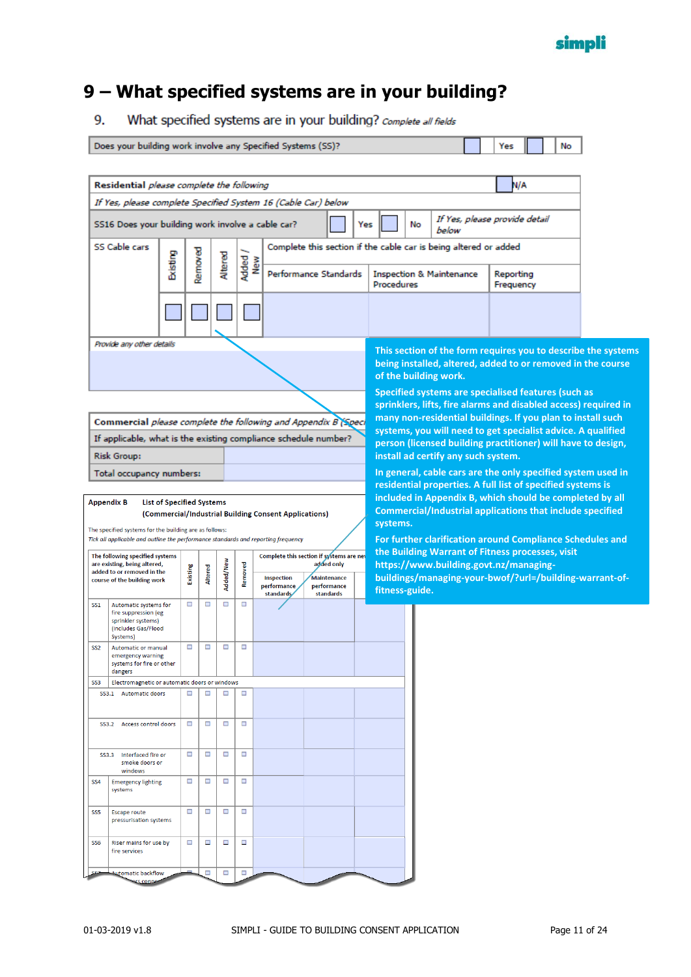

4

 $\sim$ 

## <span id="page-10-0"></span>**9 – What specified systems are in your building?**

What specified systems are in your building? complete all fields 9.

|                 |                                                                                                                                             |                                  |                     |           |              | Does your building work involve any Specified Systems (SS)? |                                  |                |    |                                                                  | Yes                    |  | No |                                                                                                                              |
|-----------------|---------------------------------------------------------------------------------------------------------------------------------------------|----------------------------------|---------------------|-----------|--------------|-------------------------------------------------------------|----------------------------------|----------------|----|------------------------------------------------------------------|------------------------|--|----|------------------------------------------------------------------------------------------------------------------------------|
|                 |                                                                                                                                             |                                  |                     |           |              |                                                             |                                  |                |    |                                                                  |                        |  |    |                                                                                                                              |
|                 | Residential please complete the following                                                                                                   |                                  |                     |           |              |                                                             |                                  |                |    |                                                                  | N/A                    |  |    |                                                                                                                              |
|                 | If Yes, please complete Specified System 16 (Cable Car) below                                                                               |                                  |                     |           |              |                                                             |                                  |                |    | If Yes, please provide detail                                    |                        |  |    |                                                                                                                              |
|                 | SS16 Does your building work involve a cable car?                                                                                           |                                  |                     |           |              |                                                             |                                  | Yes            | No | below                                                            |                        |  |    |                                                                                                                              |
|                 | SS Cable cars                                                                                                                               | <b>Existing</b>                  | Removed             | Altered   | Added<br>New |                                                             |                                  |                |    | Complete this section if the cable car is being altered or added |                        |  |    |                                                                                                                              |
|                 |                                                                                                                                             |                                  |                     |           |              |                                                             | Performance Standards            | Procedures     |    | <b>Inspection &amp; Maintenance</b>                              | Reporting<br>Frequency |  |    |                                                                                                                              |
|                 |                                                                                                                                             |                                  |                     |           |              |                                                             |                                  |                |    |                                                                  |                        |  |    |                                                                                                                              |
|                 | Provide any other details                                                                                                                   |                                  |                     |           |              |                                                             |                                  |                |    |                                                                  |                        |  |    |                                                                                                                              |
|                 |                                                                                                                                             |                                  |                     |           |              |                                                             |                                  |                |    | of the building work.                                            |                        |  |    | This section of the form requires you to describe the systems<br>being installed, altered, added to or removed in the course |
|                 |                                                                                                                                             |                                  |                     |           |              |                                                             |                                  |                |    | Specified systems are specialised features (such as              |                        |  |    | sprinklers, lifts, fire alarms and disabled access) required in                                                              |
|                 | Commercial please complete the following and Appendix B (Speci                                                                              |                                  |                     |           |              |                                                             |                                  |                |    | many non-residential buildings. If you plan to install such      |                        |  |    |                                                                                                                              |
|                 | If applicable, what is the existing compliance schedule number?                                                                             |                                  |                     |           |              |                                                             |                                  |                |    |                                                                  |                        |  |    | systems, you will need to get specialist advice. A qualified<br>person (licensed building practitioner) will have to design, |
|                 | <b>Risk Group:</b>                                                                                                                          |                                  |                     |           |              |                                                             |                                  |                |    | install ad certify any such system.                              |                        |  |    |                                                                                                                              |
|                 | Total occupancy numbers:                                                                                                                    |                                  |                     |           |              |                                                             |                                  |                |    |                                                                  |                        |  |    | In general, cable cars are the only specified system used in                                                                 |
|                 |                                                                                                                                             |                                  |                     |           |              |                                                             |                                  |                |    | residential properties. A full list of specified systems is      |                        |  |    |                                                                                                                              |
|                 | <b>Appendix B</b>                                                                                                                           | <b>List of Specified Systems</b> |                     |           |              | (Commercial/Industrial Building Consent Applications)       |                                  |                |    | <b>Commercial/Industrial applications that include specified</b> |                        |  |    | included in Appendix B, which should be completed by all                                                                     |
|                 |                                                                                                                                             |                                  |                     |           |              |                                                             |                                  |                |    |                                                                  |                        |  |    |                                                                                                                              |
|                 |                                                                                                                                             |                                  |                     |           |              |                                                             |                                  | systems.       |    |                                                                  |                        |  |    |                                                                                                                              |
|                 | The specified systems for the building are as follows:<br>Tick all applicable and outline the performance standards and reporting frequency |                                  |                     |           |              |                                                             |                                  |                |    |                                                                  |                        |  |    | For further clarification around Compliance Schedules and                                                                    |
|                 | The following specified systems                                                                                                             |                                  |                     |           |              | Complete this section if systems are net                    |                                  |                |    | the Building Warrant of Fitness processes, visit                 |                        |  |    |                                                                                                                              |
|                 | are existing, being altered,<br>added to or removed in the<br>course of the building work                                                   |                                  |                     |           |              | Inspection                                                  | added only<br><b>Maintenance</b> |                |    | https://www.building.govt.nz/managing-                           |                        |  |    | buildings/managing-your-bwof/?url=/building-warrant-of-                                                                      |
|                 |                                                                                                                                             |                                  | Existing<br>Altered | Added/New | Removed      | performance<br>standards                                    | performance<br>standards         | fitness-guide. |    |                                                                  |                        |  |    |                                                                                                                              |
| <b>SS1</b>      | Automatic systems for<br>fire suppression (eg<br>sprinkler systems)<br>(includes Gas/Flood                                                  |                                  | Ξ<br>□              | П         | $\Box$       |                                                             |                                  |                |    |                                                                  |                        |  |    |                                                                                                                              |
| SS <sub>2</sub> | Systems)<br>Automatic or manual<br>emergency warning<br>systems for fire or other<br>dangers                                                |                                  | $\Box$<br>$\Box$    | $\Box$    | $\Box$       |                                                             |                                  |                |    |                                                                  |                        |  |    |                                                                                                                              |
| SS <sub>3</sub> | Electromagnetic or automatic doors or windows                                                                                               |                                  |                     |           |              |                                                             |                                  |                |    |                                                                  |                        |  |    |                                                                                                                              |
|                 | SS3.1 Automatic doors                                                                                                                       |                                  | о<br>□              | □         | $\Box$       |                                                             |                                  |                |    |                                                                  |                        |  |    |                                                                                                                              |
|                 | SS3.2 Access control doors                                                                                                                  |                                  | □<br>□              | □         | □            |                                                             |                                  |                |    |                                                                  |                        |  |    |                                                                                                                              |
|                 | SS3.3 Interfaced fire or<br>smoke doors or                                                                                                  |                                  | $\Box$<br>□         | □         | □            |                                                             |                                  |                |    |                                                                  |                        |  |    |                                                                                                                              |
| <b>SS4</b>      | windows<br><b>Emergency lighting</b><br>systems                                                                                             |                                  | Ξ<br>□              | □         | □            |                                                             |                                  |                |    |                                                                  |                        |  |    |                                                                                                                              |
| SS <sub>5</sub> | <b>Escape route</b><br>pressurisation systems                                                                                               |                                  | □<br>□              | □         | $\Box$       |                                                             |                                  |                |    |                                                                  |                        |  |    |                                                                                                                              |
| SS <sub>6</sub> | Riser mains for use by<br>fire services                                                                                                     |                                  | □<br>□              | □         | $\Box$       |                                                             |                                  |                |    |                                                                  |                        |  |    |                                                                                                                              |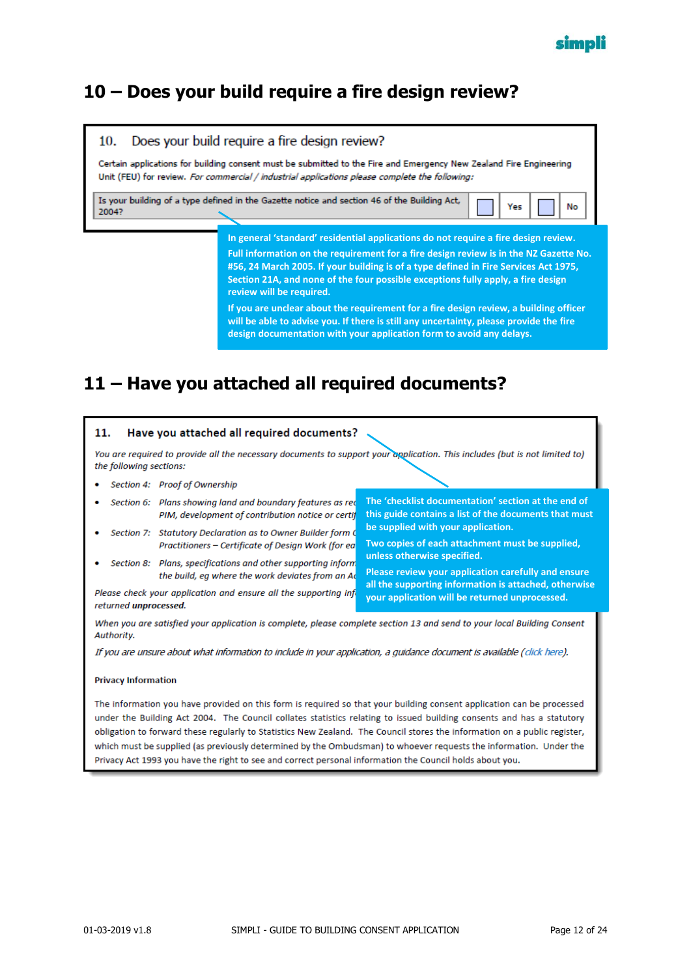#### <span id="page-11-0"></span>**10 – Does your build require a fire design review?**



**If you are unclear about the requirement for a fire design review, a building officer will be able to advise you. If there is still any uncertainty, please provide the fire design documentation with your application form to avoid any delays.**

### <span id="page-11-1"></span>**11 – Have you attached all required documents?**

#### 11. Have you attached all required documents? You are required to provide all the necessary documents to support your application. This includes (but is not limited to) the following sections: Section 4: Proof of Ownership **The 'checklist documentation' section at the end of**  Section 6: Plans showing land and boundary features as red **this guide contains a list of the documents that must**  PIM, development of contribution notice or certif **be supplied with your application.** Section 7: Statutory Declaration as to Owner Builder form C **Two copies of each attachment must be supplied,**  Practitioners - Certificate of Design Work (for ea **unless otherwise specified.** Section 8: Plans, specifications and other supporting inform **Please review your application carefully and ensure**  the build, eg where the work deviates from an Ad **all the supporting information is attached, otherwise**  Please check your application and ensure all the supporting inf **your application will be returned unprocessed.**returned unprocessed. When you are satisfied your application is complete, please complete section 13 and send to your local Building Consent Authority.

If you are unsure about what information to include in your application, a guidance document is available (click here).

#### **Privacy Information**

The information you have provided on this form is required so that your building consent application can be processed under the Building Act 2004. The Council collates statistics relating to issued building consents and has a statutory obligation to forward these regularly to Statistics New Zealand. The Council stores the information on a public register, which must be supplied (as previously determined by the Ombudsman) to whoever requests the information. Under the Privacy Act 1993 you have the right to see and correct personal information the Council holds about you.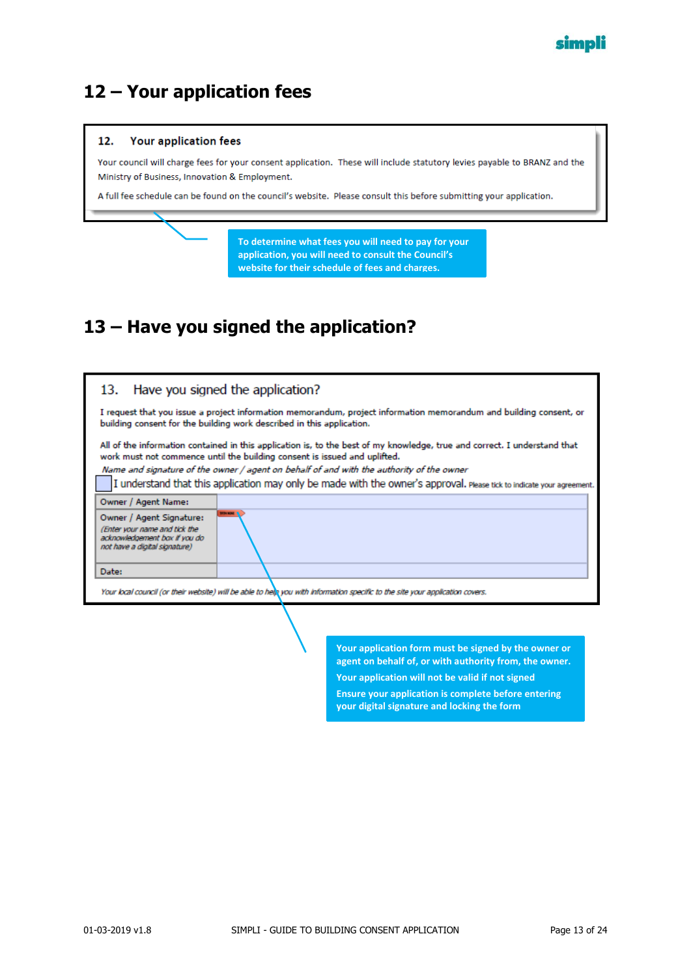

#### <span id="page-12-0"></span>**12 – Your application fees**

#### 12. Your application fees Your council will charge fees for your consent application. These will include statutory levies payable to BRANZ and the Ministry of Business, Innovation & Employment. A full fee schedule can be found on the council's website. Please consult this before submitting your application. **To determine what fees you will need to pay for your application, you will need to consult the Council's website for their schedule of fees and charges.**

## <span id="page-12-1"></span>**13 – Have you signed the application?**

| 13. Have you signed the application?                                                                                                                                                                                                                                                                                                                                                                                         |                   |  |
|------------------------------------------------------------------------------------------------------------------------------------------------------------------------------------------------------------------------------------------------------------------------------------------------------------------------------------------------------------------------------------------------------------------------------|-------------------|--|
| I request that you issue a project information memorandum, project information memorandum and building consent, or<br>building consent for the building work described in this application.                                                                                                                                                                                                                                  |                   |  |
| All of the information contained in this application is, to the best of my knowledge, true and correct. I understand that<br>work must not commence until the building consent is issued and uplifted.<br>Name and signature of the owner / agent on behalf of and with the authority of the owner<br>I understand that this application may only be made with the owner's approval. Please tick to indicate your agreement. |                   |  |
| Owner / Agent Name:                                                                                                                                                                                                                                                                                                                                                                                                          |                   |  |
| Owner / Agent Signature:<br>(Enter your name and tick the<br>acknowledgement box If you do<br>not have a digital signature)                                                                                                                                                                                                                                                                                                  | <b>STATISTICS</b> |  |
| Date:                                                                                                                                                                                                                                                                                                                                                                                                                        |                   |  |
| Your local council (or their website) will be able to help you with information specific to the site your application covers.                                                                                                                                                                                                                                                                                                |                   |  |
|                                                                                                                                                                                                                                                                                                                                                                                                                              |                   |  |

**Your application form must be signed by the owner or agent on behalf of, or with authority from, the owner. Your application will not be valid if not signed Ensure your application is complete before entering your digital signature and locking the form**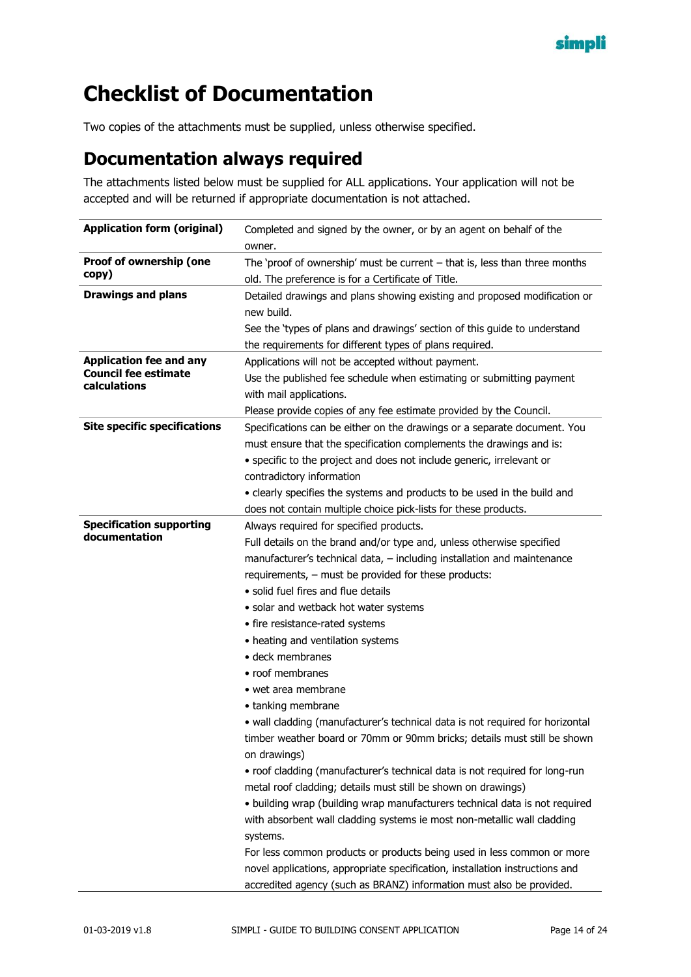

# <span id="page-13-0"></span>**Checklist of Documentation**

Two copies of the attachments must be supplied, unless otherwise specified.

#### <span id="page-13-1"></span>**Documentation always required**

The attachments listed below must be supplied for ALL applications. Your application will not be accepted and will be returned if appropriate documentation is not attached.

| <b>Application form (original)</b>          | Completed and signed by the owner, or by an agent on behalf of the            |  |
|---------------------------------------------|-------------------------------------------------------------------------------|--|
|                                             | owner.                                                                        |  |
| Proof of ownership (one                     | The 'proof of ownership' must be current $-$ that is, less than three months  |  |
| copy)                                       | old. The preference is for a Certificate of Title.                            |  |
| <b>Drawings and plans</b>                   | Detailed drawings and plans showing existing and proposed modification or     |  |
|                                             | new build.                                                                    |  |
|                                             | See the 'types of plans and drawings' section of this guide to understand     |  |
|                                             | the requirements for different types of plans required.                       |  |
| <b>Application fee and any</b>              | Applications will not be accepted without payment.                            |  |
| <b>Council fee estimate</b><br>calculations | Use the published fee schedule when estimating or submitting payment          |  |
|                                             | with mail applications.                                                       |  |
|                                             | Please provide copies of any fee estimate provided by the Council.            |  |
| <b>Site specific specifications</b>         | Specifications can be either on the drawings or a separate document. You      |  |
|                                             | must ensure that the specification complements the drawings and is:           |  |
|                                             | • specific to the project and does not include generic, irrelevant or         |  |
|                                             | contradictory information                                                     |  |
|                                             | • clearly specifies the systems and products to be used in the build and      |  |
|                                             | does not contain multiple choice pick-lists for these products.               |  |
| <b>Specification supporting</b>             | Always required for specified products.                                       |  |
| documentation                               | Full details on the brand and/or type and, unless otherwise specified         |  |
|                                             | manufacturer's technical data, - including installation and maintenance       |  |
|                                             | requirements, - must be provided for these products:                          |  |
|                                             | · solid fuel fires and flue details                                           |  |
|                                             | · solar and wetback hot water systems                                         |  |
|                                             | • fire resistance-rated systems                                               |  |
|                                             | • heating and ventilation systems                                             |  |
|                                             | • deck membranes                                                              |  |
|                                             | • roof membranes                                                              |  |
|                                             | $\bullet$ wet area membrane                                                   |  |
|                                             | • tanking membrane                                                            |  |
|                                             | · wall cladding (manufacturer's technical data is not required for horizontal |  |
|                                             | timber weather board or 70mm or 90mm bricks; details must still be shown      |  |
|                                             | on drawings)                                                                  |  |
|                                             | • roof cladding (manufacturer's technical data is not required for long-run   |  |
|                                             | metal roof cladding; details must still be shown on drawings)                 |  |
|                                             | · building wrap (building wrap manufacturers technical data is not required   |  |
|                                             | with absorbent wall cladding systems ie most non-metallic wall cladding       |  |
|                                             | systems.                                                                      |  |
|                                             | For less common products or products being used in less common or more        |  |
|                                             | novel applications, appropriate specification, installation instructions and  |  |
|                                             | accredited agency (such as BRANZ) information must also be provided.          |  |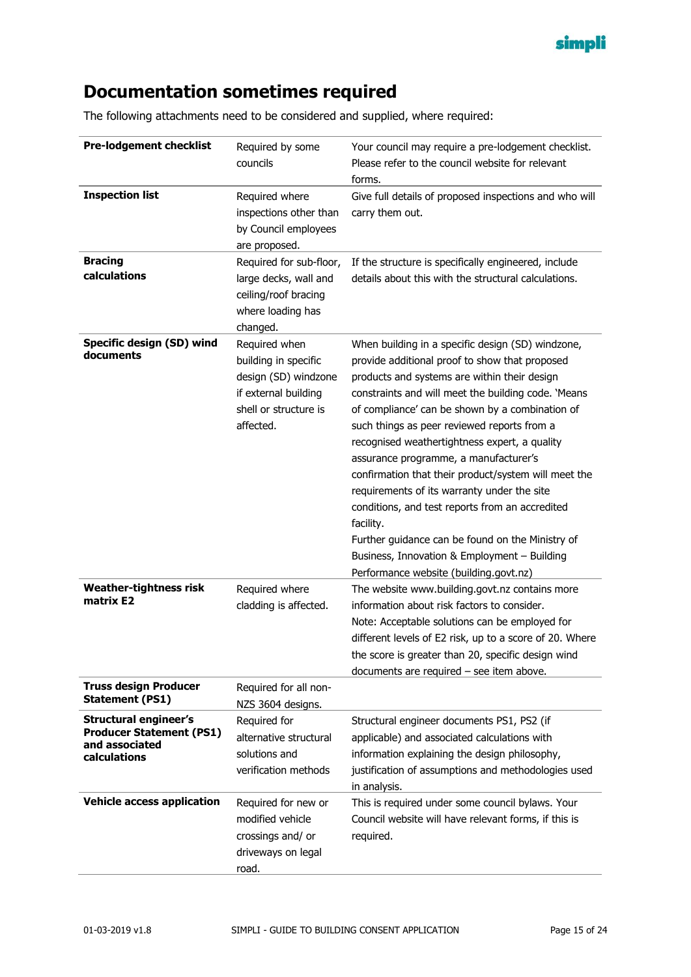

### <span id="page-14-0"></span>**Documentation sometimes required**

The following attachments need to be considered and supplied, where required:

| <b>Pre-lodgement checklist</b>                                                                    | Required by some<br>councils                                                                                                | Your council may require a pre-lodgement checklist.<br>Please refer to the council website for relevant<br>forms.                                                                                                                                                                                                                                                                                                                                                                                                                                                                                                                                                                                                           |
|---------------------------------------------------------------------------------------------------|-----------------------------------------------------------------------------------------------------------------------------|-----------------------------------------------------------------------------------------------------------------------------------------------------------------------------------------------------------------------------------------------------------------------------------------------------------------------------------------------------------------------------------------------------------------------------------------------------------------------------------------------------------------------------------------------------------------------------------------------------------------------------------------------------------------------------------------------------------------------------|
| <b>Inspection list</b>                                                                            | Required where<br>inspections other than<br>by Council employees<br>are proposed.                                           | Give full details of proposed inspections and who will<br>carry them out.                                                                                                                                                                                                                                                                                                                                                                                                                                                                                                                                                                                                                                                   |
| <b>Bracing</b><br>calculations                                                                    | Required for sub-floor,<br>large decks, wall and<br>ceiling/roof bracing<br>where loading has<br>changed.                   | If the structure is specifically engineered, include<br>details about this with the structural calculations.                                                                                                                                                                                                                                                                                                                                                                                                                                                                                                                                                                                                                |
| Specific design (SD) wind<br>documents                                                            | Required when<br>building in specific<br>design (SD) windzone<br>if external building<br>shell or structure is<br>affected. | When building in a specific design (SD) windzone,<br>provide additional proof to show that proposed<br>products and systems are within their design<br>constraints and will meet the building code. 'Means<br>of compliance' can be shown by a combination of<br>such things as peer reviewed reports from a<br>recognised weathertightness expert, a quality<br>assurance programme, a manufacturer's<br>confirmation that their product/system will meet the<br>requirements of its warranty under the site<br>conditions, and test reports from an accredited<br>facility.<br>Further guidance can be found on the Ministry of<br>Business, Innovation & Employment - Building<br>Performance website (building.govt.nz) |
| <b>Weather-tightness risk</b><br>matrix E2                                                        | Required where<br>cladding is affected.                                                                                     | The website www.building.govt.nz contains more<br>information about risk factors to consider.<br>Note: Acceptable solutions can be employed for<br>different levels of E2 risk, up to a score of 20. Where<br>the score is greater than 20, specific design wind<br>documents are required $-$ see item above.                                                                                                                                                                                                                                                                                                                                                                                                              |
| <b>Truss design Producer</b><br><b>Statement (PS1)</b>                                            | Required for all non-<br>NZS 3604 designs.                                                                                  |                                                                                                                                                                                                                                                                                                                                                                                                                                                                                                                                                                                                                                                                                                                             |
| <b>Structural engineer's</b><br><b>Producer Statement (PS1)</b><br>and associated<br>calculations | Required for<br>alternative structural<br>solutions and<br>verification methods                                             | Structural engineer documents PS1, PS2 (if<br>applicable) and associated calculations with<br>information explaining the design philosophy,<br>justification of assumptions and methodologies used<br>in analysis.                                                                                                                                                                                                                                                                                                                                                                                                                                                                                                          |
| <b>Vehicle access application</b>                                                                 | Required for new or<br>modified vehicle<br>crossings and/ or<br>driveways on legal<br>road.                                 | This is required under some council bylaws. Your<br>Council website will have relevant forms, if this is<br>required.                                                                                                                                                                                                                                                                                                                                                                                                                                                                                                                                                                                                       |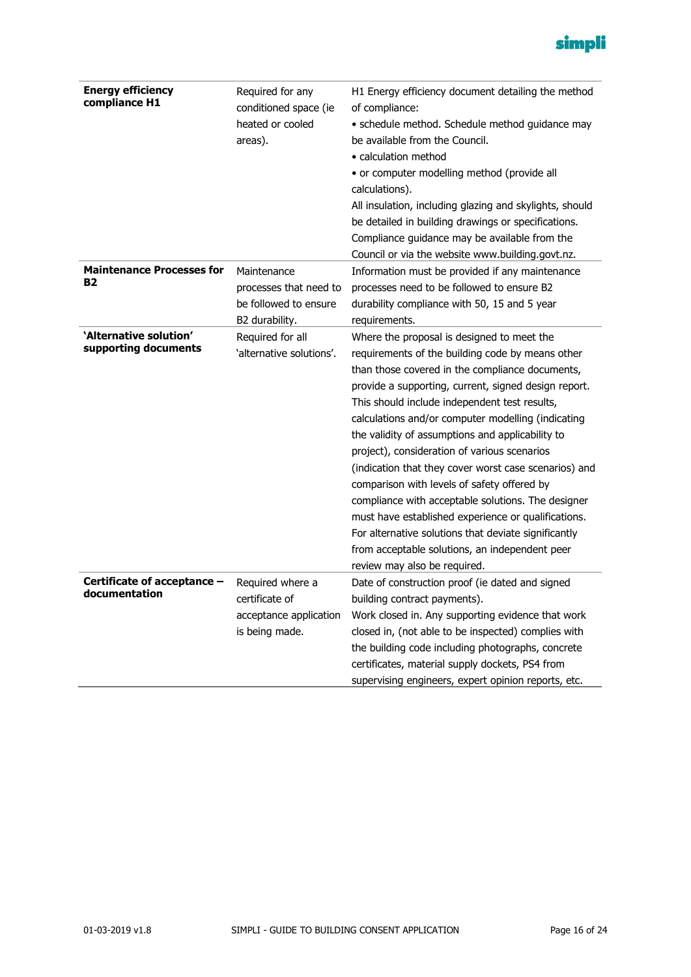

| <b>Energy efficiency</b><br>compliance H1      | Required for any<br>conditioned space (ie<br>heated or cooled<br>areas).         | H1 Energy efficiency document detailing the method<br>of compliance:<br>• schedule method. Schedule method guidance may<br>be available from the Council.<br>• calculation method<br>• or computer modelling method (provide all<br>calculations).<br>All insulation, including glazing and skylights, should<br>be detailed in building drawings or specifications.<br>Compliance guidance may be available from the<br>Council or via the website www.building.govt.nz.                                                                                                                                                                                                                                                                                                           |
|------------------------------------------------|----------------------------------------------------------------------------------|-------------------------------------------------------------------------------------------------------------------------------------------------------------------------------------------------------------------------------------------------------------------------------------------------------------------------------------------------------------------------------------------------------------------------------------------------------------------------------------------------------------------------------------------------------------------------------------------------------------------------------------------------------------------------------------------------------------------------------------------------------------------------------------|
| <b>Maintenance Processes for</b><br><b>B2</b>  | Maintenance<br>processes that need to<br>be followed to ensure<br>B2 durability. | Information must be provided if any maintenance<br>processes need to be followed to ensure B2<br>durability compliance with 50, 15 and 5 year<br>requirements.                                                                                                                                                                                                                                                                                                                                                                                                                                                                                                                                                                                                                      |
| 'Alternative solution'<br>supporting documents | Required for all<br>'alternative solutions'.                                     | Where the proposal is designed to meet the<br>requirements of the building code by means other<br>than those covered in the compliance documents,<br>provide a supporting, current, signed design report.<br>This should include independent test results,<br>calculations and/or computer modelling (indicating<br>the validity of assumptions and applicability to<br>project), consideration of various scenarios<br>(indication that they cover worst case scenarios) and<br>comparison with levels of safety offered by<br>compliance with acceptable solutions. The designer<br>must have established experience or qualifications.<br>For alternative solutions that deviate significantly<br>from acceptable solutions, an independent peer<br>review may also be required. |
| Certificate of acceptance -<br>documentation   | Required where a<br>certificate of<br>acceptance application<br>is being made.   | Date of construction proof (ie dated and signed<br>building contract payments).<br>Work closed in. Any supporting evidence that work<br>closed in, (not able to be inspected) complies with<br>the building code including photographs, concrete<br>certificates, material supply dockets, PS4 from<br>supervising engineers, expert opinion reports, etc.                                                                                                                                                                                                                                                                                                                                                                                                                          |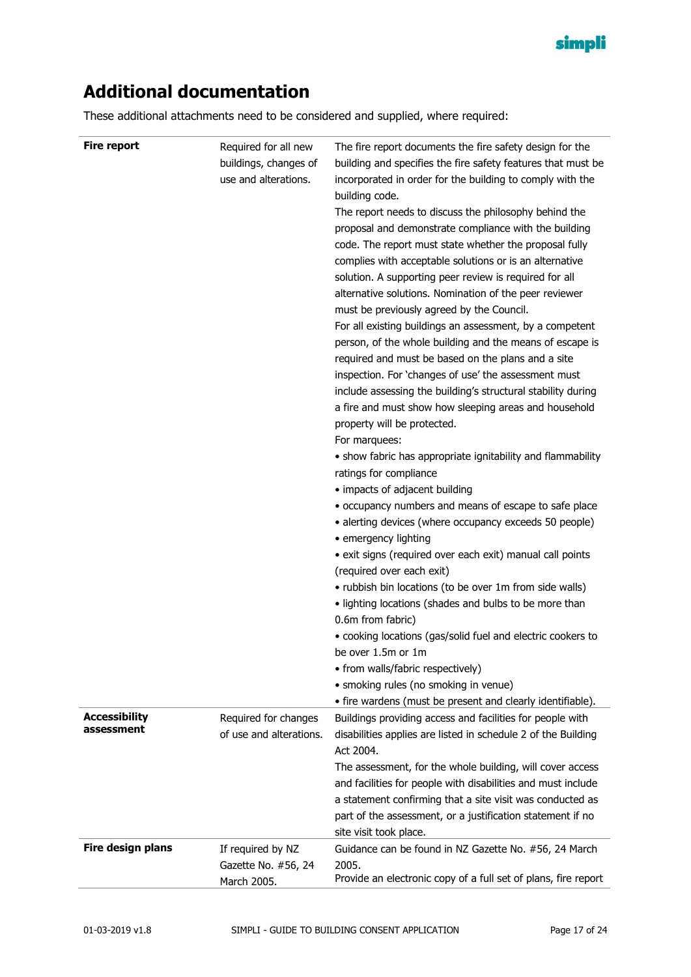

### <span id="page-16-0"></span>**Additional documentation**

These additional attachments need to be considered and supplied, where required:

| <b>Fire report</b>                 | Required for all new<br>buildings, changes of<br>use and alterations. | The fire report documents the fire safety design for the<br>building and specifies the fire safety features that must be<br>incorporated in order for the building to comply with the<br>building code.<br>The report needs to discuss the philosophy behind the<br>proposal and demonstrate compliance with the building<br>code. The report must state whether the proposal fully<br>complies with acceptable solutions or is an alternative<br>solution. A supporting peer review is required for all<br>alternative solutions. Nomination of the peer reviewer<br>must be previously agreed by the Council.<br>For all existing buildings an assessment, by a competent<br>person, of the whole building and the means of escape is<br>required and must be based on the plans and a site<br>inspection. For 'changes of use' the assessment must<br>include assessing the building's structural stability during<br>a fire and must show how sleeping areas and household<br>property will be protected.<br>For marquees:<br>• show fabric has appropriate ignitability and flammability<br>ratings for compliance<br>• impacts of adjacent building<br>• occupancy numbers and means of escape to safe place<br>• alerting devices (where occupancy exceeds 50 people)<br>• emergency lighting<br>• exit signs (required over each exit) manual call points<br>(required over each exit)<br>• rubbish bin locations (to be over 1m from side walls)<br>• lighting locations (shades and bulbs to be more than<br>0.6m from fabric)<br>• cooking locations (gas/solid fuel and electric cookers to<br>be over 1.5m or 1m<br>• from walls/fabric respectively)<br>· smoking rules (no smoking in venue)<br>• fire wardens (must be present and clearly identifiable). |
|------------------------------------|-----------------------------------------------------------------------|---------------------------------------------------------------------------------------------------------------------------------------------------------------------------------------------------------------------------------------------------------------------------------------------------------------------------------------------------------------------------------------------------------------------------------------------------------------------------------------------------------------------------------------------------------------------------------------------------------------------------------------------------------------------------------------------------------------------------------------------------------------------------------------------------------------------------------------------------------------------------------------------------------------------------------------------------------------------------------------------------------------------------------------------------------------------------------------------------------------------------------------------------------------------------------------------------------------------------------------------------------------------------------------------------------------------------------------------------------------------------------------------------------------------------------------------------------------------------------------------------------------------------------------------------------------------------------------------------------------------------------------------------------------------------------------------------------------------------------------------------------------------------|
| <b>Accessibility</b><br>assessment | Required for changes<br>of use and alterations.                       | Buildings providing access and facilities for people with<br>disabilities applies are listed in schedule 2 of the Building<br>Act 2004.<br>The assessment, for the whole building, will cover access<br>and facilities for people with disabilities and must include<br>a statement confirming that a site visit was conducted as<br>part of the assessment, or a justification statement if no<br>site visit took place.                                                                                                                                                                                                                                                                                                                                                                                                                                                                                                                                                                                                                                                                                                                                                                                                                                                                                                                                                                                                                                                                                                                                                                                                                                                                                                                                                 |
| Fire design plans                  | If required by NZ                                                     | Guidance can be found in NZ Gazette No. #56, 24 March                                                                                                                                                                                                                                                                                                                                                                                                                                                                                                                                                                                                                                                                                                                                                                                                                                                                                                                                                                                                                                                                                                                                                                                                                                                                                                                                                                                                                                                                                                                                                                                                                                                                                                                     |
|                                    | Gazette No. #56, 24                                                   | 2005.                                                                                                                                                                                                                                                                                                                                                                                                                                                                                                                                                                                                                                                                                                                                                                                                                                                                                                                                                                                                                                                                                                                                                                                                                                                                                                                                                                                                                                                                                                                                                                                                                                                                                                                                                                     |
|                                    | March 2005.                                                           | Provide an electronic copy of a full set of plans, fire report                                                                                                                                                                                                                                                                                                                                                                                                                                                                                                                                                                                                                                                                                                                                                                                                                                                                                                                                                                                                                                                                                                                                                                                                                                                                                                                                                                                                                                                                                                                                                                                                                                                                                                            |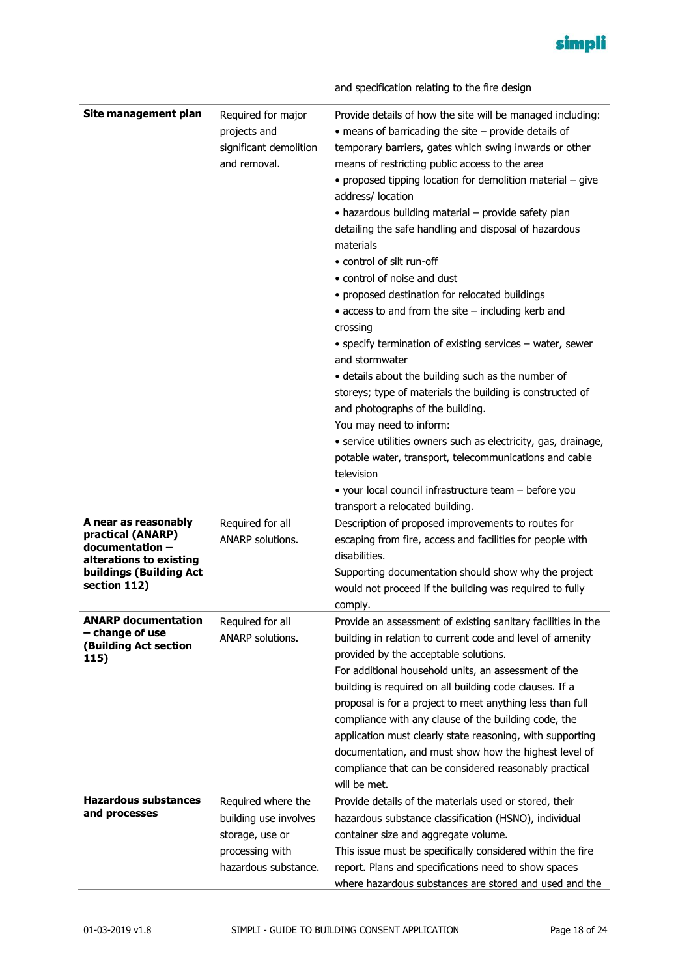

|                                                                                                                                          |                                                                                                           | and specification relating to the fire design                                                                                                                                                                                                                                                                                                                                                                                                                                                                                                                                                                                                                                                                                                                                                                                                                                                                                                                                                                                                                                                                                                             |
|------------------------------------------------------------------------------------------------------------------------------------------|-----------------------------------------------------------------------------------------------------------|-----------------------------------------------------------------------------------------------------------------------------------------------------------------------------------------------------------------------------------------------------------------------------------------------------------------------------------------------------------------------------------------------------------------------------------------------------------------------------------------------------------------------------------------------------------------------------------------------------------------------------------------------------------------------------------------------------------------------------------------------------------------------------------------------------------------------------------------------------------------------------------------------------------------------------------------------------------------------------------------------------------------------------------------------------------------------------------------------------------------------------------------------------------|
| Site management plan                                                                                                                     | Required for major<br>projects and<br>significant demolition<br>and removal.                              | Provide details of how the site will be managed including:<br>$\bullet$ means of barricading the site $-$ provide details of<br>temporary barriers, gates which swing inwards or other<br>means of restricting public access to the area<br>• proposed tipping location for demolition material - give<br>address/ location<br>• hazardous building material - provide safety plan<br>detailing the safe handling and disposal of hazardous<br>materials<br>• control of silt run-off<br>• control of noise and dust<br>• proposed destination for relocated buildings<br>$\bullet$ access to and from the site $-$ including kerb and<br>crossing<br>• specify termination of existing services - water, sewer<br>and stormwater<br>• details about the building such as the number of<br>storeys; type of materials the building is constructed of<br>and photographs of the building.<br>You may need to inform:<br>• service utilities owners such as electricity, gas, drainage,<br>potable water, transport, telecommunications and cable<br>television<br>• your local council infrastructure team - before you<br>transport a relocated building. |
| A near as reasonably<br>practical (ANARP)<br>documentation-<br>alterations to existing<br><b>buildings (Building Act</b><br>section 112) | Required for all<br>ANARP solutions.                                                                      | Description of proposed improvements to routes for<br>escaping from fire, access and facilities for people with<br>disabilities.<br>Supporting documentation should show why the project<br>would not proceed if the building was required to fully<br>comply.                                                                                                                                                                                                                                                                                                                                                                                                                                                                                                                                                                                                                                                                                                                                                                                                                                                                                            |
| <b>ANARP documentation</b><br>- change of use<br><b>(Building Act section</b><br>115)                                                    | Required for all<br>ANARP solutions.                                                                      | Provide an assessment of existing sanitary facilities in the<br>building in relation to current code and level of amenity<br>provided by the acceptable solutions.<br>For additional household units, an assessment of the<br>building is required on all building code clauses. If a<br>proposal is for a project to meet anything less than full<br>compliance with any clause of the building code, the<br>application must clearly state reasoning, with supporting<br>documentation, and must show how the highest level of<br>compliance that can be considered reasonably practical<br>will be met.                                                                                                                                                                                                                                                                                                                                                                                                                                                                                                                                                |
| <b>Hazardous substances</b><br>and processes                                                                                             | Required where the<br>building use involves<br>storage, use or<br>processing with<br>hazardous substance. | Provide details of the materials used or stored, their<br>hazardous substance classification (HSNO), individual<br>container size and aggregate volume.<br>This issue must be specifically considered within the fire<br>report. Plans and specifications need to show spaces<br>where hazardous substances are stored and used and the                                                                                                                                                                                                                                                                                                                                                                                                                                                                                                                                                                                                                                                                                                                                                                                                                   |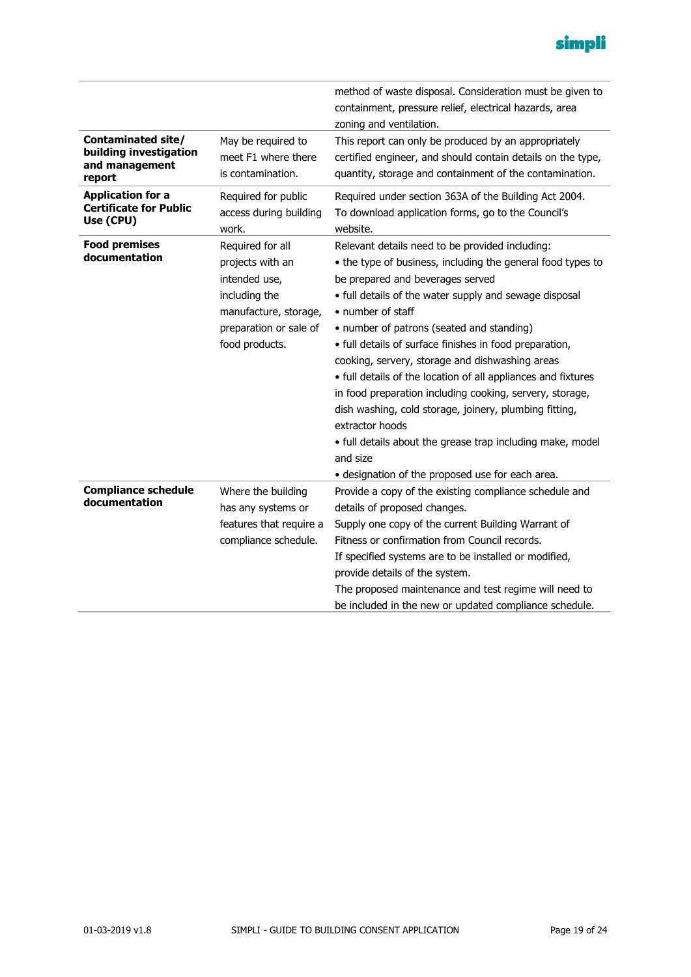

|                                                                                 |                                                                                                                                             | method of waste disposal. Consideration must be given to<br>containment, pressure relief, electrical hazards, area                                                                                                                                                                                                                                                                                                                                                                                                                                                                                                                                                                                                                   |
|---------------------------------------------------------------------------------|---------------------------------------------------------------------------------------------------------------------------------------------|--------------------------------------------------------------------------------------------------------------------------------------------------------------------------------------------------------------------------------------------------------------------------------------------------------------------------------------------------------------------------------------------------------------------------------------------------------------------------------------------------------------------------------------------------------------------------------------------------------------------------------------------------------------------------------------------------------------------------------------|
|                                                                                 |                                                                                                                                             | zoning and ventilation.                                                                                                                                                                                                                                                                                                                                                                                                                                                                                                                                                                                                                                                                                                              |
| <b>Contaminated site/</b><br>building investigation<br>and management<br>report | May be required to<br>meet F1 where there<br>is contamination.                                                                              | This report can only be produced by an appropriately<br>certified engineer, and should contain details on the type,<br>quantity, storage and containment of the contamination.                                                                                                                                                                                                                                                                                                                                                                                                                                                                                                                                                       |
| <b>Application for a</b><br><b>Certificate for Public</b><br>Use (CPU)          | Required for public<br>access during building<br>work.                                                                                      | Required under section 363A of the Building Act 2004.<br>To download application forms, go to the Council's<br>website.                                                                                                                                                                                                                                                                                                                                                                                                                                                                                                                                                                                                              |
| <b>Food premises</b><br>documentation                                           | Required for all<br>projects with an<br>intended use,<br>including the<br>manufacture, storage,<br>preparation or sale of<br>food products. | Relevant details need to be provided including:<br>• the type of business, including the general food types to<br>be prepared and beverages served<br>• full details of the water supply and sewage disposal<br>• number of staff<br>• number of patrons (seated and standing)<br>• full details of surface finishes in food preparation,<br>cooking, servery, storage and dishwashing areas<br>• full details of the location of all appliances and fixtures<br>in food preparation including cooking, servery, storage,<br>dish washing, cold storage, joinery, plumbing fitting,<br>extractor hoods<br>• full details about the grease trap including make, model<br>and size<br>· designation of the proposed use for each area. |
| <b>Compliance schedule</b><br>documentation                                     | Where the building<br>has any systems or<br>features that require a<br>compliance schedule.                                                 | Provide a copy of the existing compliance schedule and<br>details of proposed changes.<br>Supply one copy of the current Building Warrant of<br>Fitness or confirmation from Council records.<br>If specified systems are to be installed or modified,<br>provide details of the system.<br>The proposed maintenance and test regime will need to<br>be included in the new or updated compliance schedule.                                                                                                                                                                                                                                                                                                                          |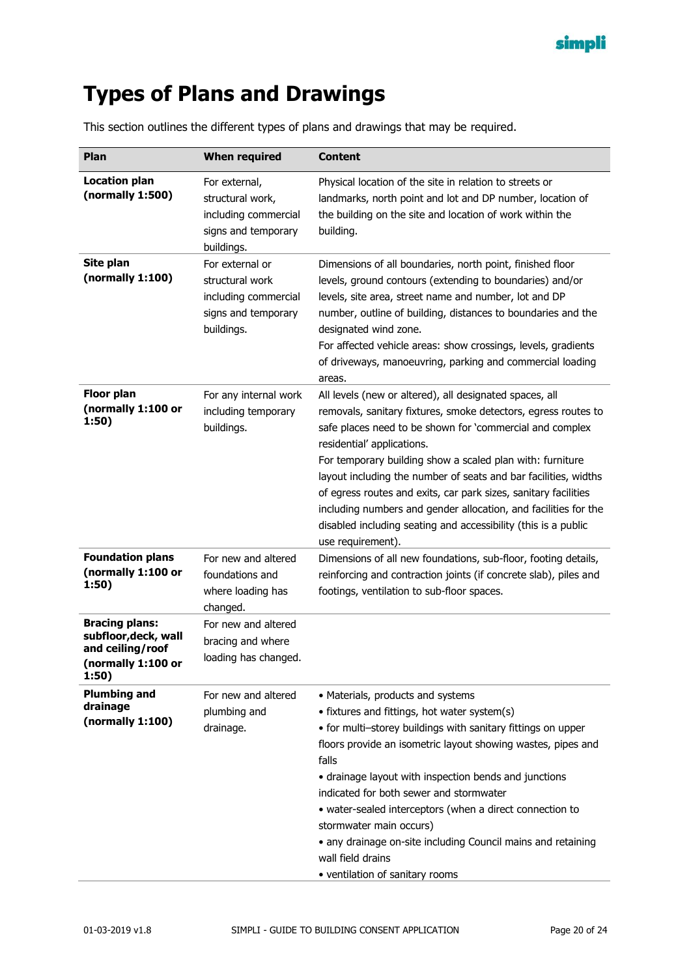

# <span id="page-19-0"></span>**Types of Plans and Drawings**

This section outlines the different types of plans and drawings that may be required.

| Plan                                                                                             | <b>When required</b>                                                                            | <b>Content</b>                                                                                                                                                                                                                                                                                                                                                                                                                                                                                                                                                                   |
|--------------------------------------------------------------------------------------------------|-------------------------------------------------------------------------------------------------|----------------------------------------------------------------------------------------------------------------------------------------------------------------------------------------------------------------------------------------------------------------------------------------------------------------------------------------------------------------------------------------------------------------------------------------------------------------------------------------------------------------------------------------------------------------------------------|
| <b>Location plan</b><br>(normally 1:500)                                                         | For external,<br>structural work,<br>including commercial<br>signs and temporary<br>buildings.  | Physical location of the site in relation to streets or<br>landmarks, north point and lot and DP number, location of<br>the building on the site and location of work within the<br>building.                                                                                                                                                                                                                                                                                                                                                                                    |
| Site plan<br>(normally 1:100)                                                                    | For external or<br>structural work<br>including commercial<br>signs and temporary<br>buildings. | Dimensions of all boundaries, north point, finished floor<br>levels, ground contours (extending to boundaries) and/or<br>levels, site area, street name and number, lot and DP<br>number, outline of building, distances to boundaries and the<br>designated wind zone.<br>For affected vehicle areas: show crossings, levels, gradients<br>of driveways, manoeuvring, parking and commercial loading<br>areas.                                                                                                                                                                  |
| <b>Floor plan</b><br>(normally 1:100 or<br>1:50)                                                 | For any internal work<br>including temporary<br>buildings.                                      | All levels (new or altered), all designated spaces, all<br>removals, sanitary fixtures, smoke detectors, egress routes to<br>safe places need to be shown for 'commercial and complex<br>residential' applications.<br>For temporary building show a scaled plan with: furniture<br>layout including the number of seats and bar facilities, widths<br>of egress routes and exits, car park sizes, sanitary facilities<br>including numbers and gender allocation, and facilities for the<br>disabled including seating and accessibility (this is a public<br>use requirement). |
| <b>Foundation plans</b><br>(normally 1:100 or<br>1:50)                                           | For new and altered<br>foundations and<br>where loading has<br>changed.                         | Dimensions of all new foundations, sub-floor, footing details,<br>reinforcing and contraction joints (if concrete slab), piles and<br>footings, ventilation to sub-floor spaces.                                                                                                                                                                                                                                                                                                                                                                                                 |
| <b>Bracing plans:</b><br>subfloor, deck, wall<br>and ceiling/roof<br>(normally 1:100 or<br>1:50) | For new and altered<br>bracing and where<br>loading has changed.                                |                                                                                                                                                                                                                                                                                                                                                                                                                                                                                                                                                                                  |
| <b>Plumbing and</b><br>drainage<br>(normally 1:100)                                              | For new and altered<br>plumbing and<br>drainage.                                                | • Materials, products and systems<br>• fixtures and fittings, hot water system(s)<br>• for multi-storey buildings with sanitary fittings on upper<br>floors provide an isometric layout showing wastes, pipes and<br>falls<br>• drainage layout with inspection bends and junctions<br>indicated for both sewer and stormwater<br>· water-sealed interceptors (when a direct connection to<br>stormwater main occurs)<br>• any drainage on-site including Council mains and retaining<br>wall field drains<br>• ventilation of sanitary rooms                                    |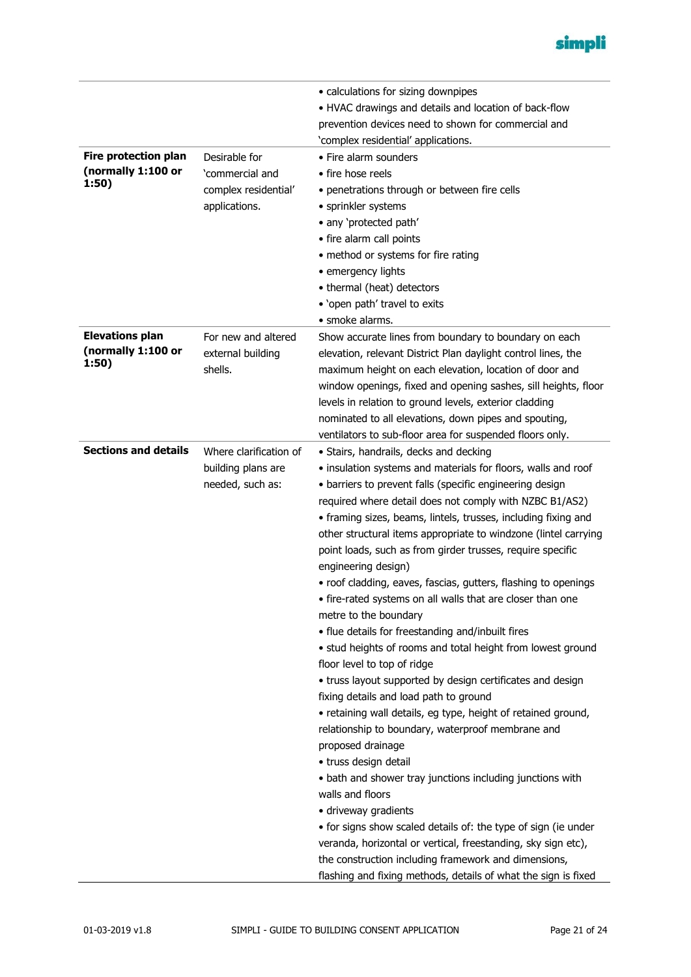

|                             |                        | • calculations for sizing downpipes                                                                                       |
|-----------------------------|------------------------|---------------------------------------------------------------------------------------------------------------------------|
|                             |                        | • HVAC drawings and details and location of back-flow                                                                     |
|                             |                        | prevention devices need to shown for commercial and                                                                       |
|                             |                        | 'complex residential' applications.                                                                                       |
| <b>Fire protection plan</b> | Desirable for          | • Fire alarm sounders                                                                                                     |
| (normally 1:100 or          | 'commercial and        | • fire hose reels                                                                                                         |
| 1:50)                       | complex residential'   | · penetrations through or between fire cells                                                                              |
|                             | applications.          | • sprinkler systems                                                                                                       |
|                             |                        | • any 'protected path'                                                                                                    |
|                             |                        | • fire alarm call points                                                                                                  |
|                             |                        | • method or systems for fire rating                                                                                       |
|                             |                        | • emergency lights                                                                                                        |
|                             |                        | • thermal (heat) detectors                                                                                                |
|                             |                        | • 'open path' travel to exits                                                                                             |
|                             |                        | • smoke alarms.                                                                                                           |
| <b>Elevations plan</b>      | For new and altered    | Show accurate lines from boundary to boundary on each                                                                     |
| (normally 1:100 or          | external building      | elevation, relevant District Plan daylight control lines, the                                                             |
| 1:50)                       | shells.                | maximum height on each elevation, location of door and                                                                    |
|                             |                        | window openings, fixed and opening sashes, sill heights, floor                                                            |
|                             |                        | levels in relation to ground levels, exterior cladding                                                                    |
|                             |                        |                                                                                                                           |
|                             |                        | nominated to all elevations, down pipes and spouting,<br>ventilators to sub-floor area for suspended floors only.         |
| <b>Sections and details</b> | Where clarification of | · Stairs, handrails, decks and decking                                                                                    |
|                             | building plans are     | · insulation systems and materials for floors, walls and roof                                                             |
|                             |                        |                                                                                                                           |
|                             | needed, such as:       | • barriers to prevent falls (specific engineering design                                                                  |
|                             |                        | required where detail does not comply with NZBC B1/AS2)<br>• framing sizes, beams, lintels, trusses, including fixing and |
|                             |                        |                                                                                                                           |
|                             |                        | other structural items appropriate to windzone (lintel carrying                                                           |
|                             |                        | point loads, such as from girder trusses, require specific<br>engineering design)                                         |
|                             |                        | • roof cladding, eaves, fascias, gutters, flashing to openings                                                            |
|                             |                        | • fire-rated systems on all walls that are closer than one                                                                |
|                             |                        | metre to the boundary                                                                                                     |
|                             |                        |                                                                                                                           |
|                             |                        | • flue details for freestanding and/inbuilt fires                                                                         |
|                             |                        | • stud heights of rooms and total height from lowest ground<br>floor level to top of ridge                                |
|                             |                        | • truss layout supported by design certificates and design                                                                |
|                             |                        | fixing details and load path to ground                                                                                    |
|                             |                        |                                                                                                                           |
|                             |                        | • retaining wall details, eg type, height of retained ground,<br>relationship to boundary, waterproof membrane and        |
|                             |                        |                                                                                                                           |
|                             |                        | proposed drainage<br>• truss design detail                                                                                |
|                             |                        | • bath and shower tray junctions including junctions with                                                                 |
|                             |                        | walls and floors                                                                                                          |
|                             |                        |                                                                                                                           |
|                             |                        | · driveway gradients                                                                                                      |
|                             |                        | • for signs show scaled details of: the type of sign (ie under                                                            |
|                             |                        | veranda, horizontal or vertical, freestanding, sky sign etc),                                                             |
|                             |                        | the construction including framework and dimensions,                                                                      |
|                             |                        | flashing and fixing methods, details of what the sign is fixed                                                            |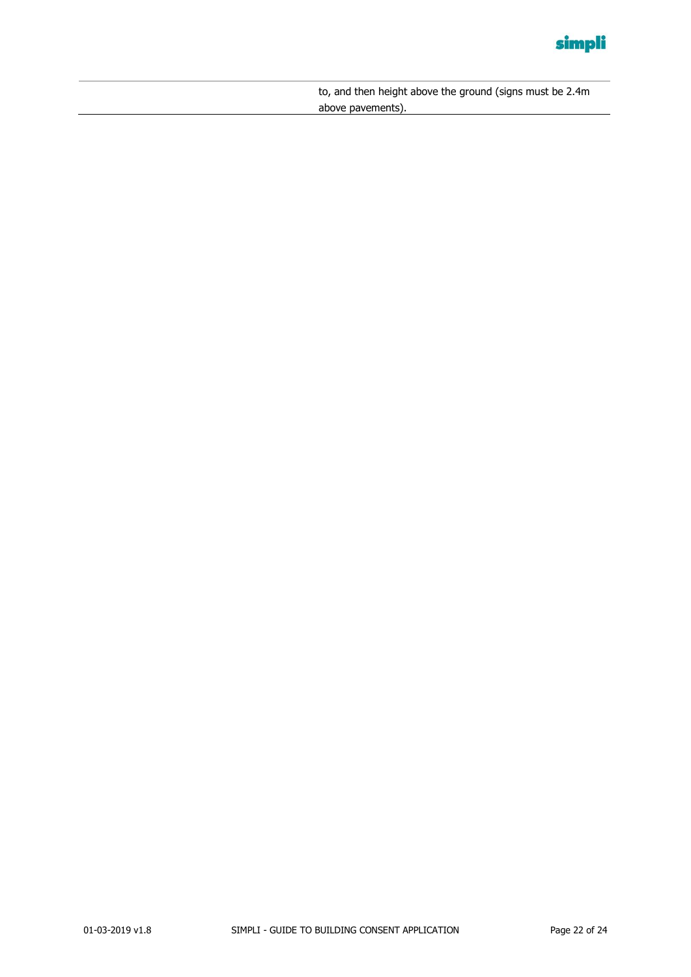

to, and then height above the ground (signs must be 2.4m above pavements).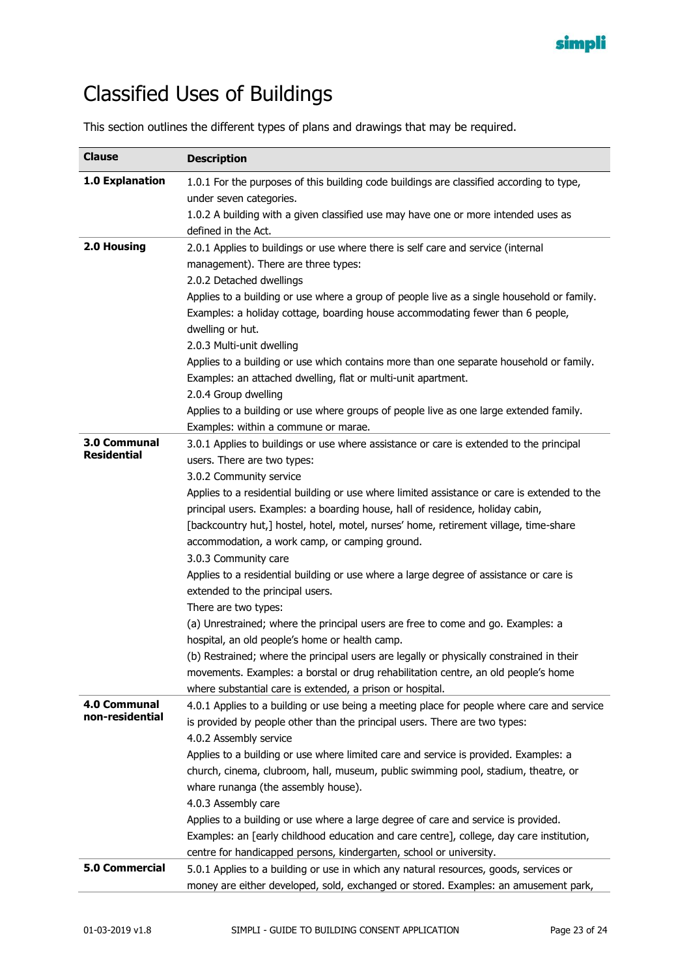

# <span id="page-22-0"></span>Classified Uses of Buildings

This section outlines the different types of plans and drawings that may be required.

| 1.0 Explanation<br>1.0.1 For the purposes of this building code buildings are classified according to type,<br>under seven categories.<br>1.0.2 A building with a given classified use may have one or more intended uses as<br>defined in the Act.<br>2.0 Housing<br>2.0.1 Applies to buildings or use where there is self care and service (internal<br>management). There are three types: |
|-----------------------------------------------------------------------------------------------------------------------------------------------------------------------------------------------------------------------------------------------------------------------------------------------------------------------------------------------------------------------------------------------|
|                                                                                                                                                                                                                                                                                                                                                                                               |
|                                                                                                                                                                                                                                                                                                                                                                                               |
|                                                                                                                                                                                                                                                                                                                                                                                               |
|                                                                                                                                                                                                                                                                                                                                                                                               |
|                                                                                                                                                                                                                                                                                                                                                                                               |
|                                                                                                                                                                                                                                                                                                                                                                                               |
| 2.0.2 Detached dwellings                                                                                                                                                                                                                                                                                                                                                                      |
| Applies to a building or use where a group of people live as a single household or family.                                                                                                                                                                                                                                                                                                    |
| Examples: a holiday cottage, boarding house accommodating fewer than 6 people,                                                                                                                                                                                                                                                                                                                |
| dwelling or hut.                                                                                                                                                                                                                                                                                                                                                                              |
| 2.0.3 Multi-unit dwelling                                                                                                                                                                                                                                                                                                                                                                     |
| Applies to a building or use which contains more than one separate household or family.                                                                                                                                                                                                                                                                                                       |
| Examples: an attached dwelling, flat or multi-unit apartment.                                                                                                                                                                                                                                                                                                                                 |
| 2.0.4 Group dwelling                                                                                                                                                                                                                                                                                                                                                                          |
| Applies to a building or use where groups of people live as one large extended family.                                                                                                                                                                                                                                                                                                        |
| Examples: within a commune or marae.<br>3.0 Communal                                                                                                                                                                                                                                                                                                                                          |
| 3.0.1 Applies to buildings or use where assistance or care is extended to the principal<br><b>Residential</b><br>users. There are two types:                                                                                                                                                                                                                                                  |
| 3.0.2 Community service                                                                                                                                                                                                                                                                                                                                                                       |
| Applies to a residential building or use where limited assistance or care is extended to the                                                                                                                                                                                                                                                                                                  |
| principal users. Examples: a boarding house, hall of residence, holiday cabin,                                                                                                                                                                                                                                                                                                                |
| [backcountry hut,] hostel, hotel, motel, nurses' home, retirement village, time-share                                                                                                                                                                                                                                                                                                         |
| accommodation, a work camp, or camping ground.                                                                                                                                                                                                                                                                                                                                                |
| 3.0.3 Community care                                                                                                                                                                                                                                                                                                                                                                          |
| Applies to a residential building or use where a large degree of assistance or care is                                                                                                                                                                                                                                                                                                        |
| extended to the principal users.                                                                                                                                                                                                                                                                                                                                                              |
| There are two types:                                                                                                                                                                                                                                                                                                                                                                          |
| (a) Unrestrained; where the principal users are free to come and go. Examples: a                                                                                                                                                                                                                                                                                                              |
| hospital, an old people's home or health camp.                                                                                                                                                                                                                                                                                                                                                |
| (b) Restrained; where the principal users are legally or physically constrained in their                                                                                                                                                                                                                                                                                                      |
| movements. Examples: a borstal or drug rehabilitation centre, an old people's home                                                                                                                                                                                                                                                                                                            |
| where substantial care is extended, a prison or hospital.                                                                                                                                                                                                                                                                                                                                     |
| 4.0 Communal<br>4.0.1 Applies to a building or use being a meeting place for people where care and service<br>non-residential                                                                                                                                                                                                                                                                 |
| is provided by people other than the principal users. There are two types:                                                                                                                                                                                                                                                                                                                    |
| 4.0.2 Assembly service                                                                                                                                                                                                                                                                                                                                                                        |
| Applies to a building or use where limited care and service is provided. Examples: a                                                                                                                                                                                                                                                                                                          |
| church, cinema, clubroom, hall, museum, public swimming pool, stadium, theatre, or                                                                                                                                                                                                                                                                                                            |
| whare runanga (the assembly house).                                                                                                                                                                                                                                                                                                                                                           |
| 4.0.3 Assembly care                                                                                                                                                                                                                                                                                                                                                                           |
| Applies to a building or use where a large degree of care and service is provided.                                                                                                                                                                                                                                                                                                            |
| Examples: an [early childhood education and care centre], college, day care institution,<br>centre for handicapped persons, kindergarten, school or university.                                                                                                                                                                                                                               |
| <b>5.0 Commercial</b><br>5.0.1 Applies to a building or use in which any natural resources, goods, services or                                                                                                                                                                                                                                                                                |
| money are either developed, sold, exchanged or stored. Examples: an amusement park,                                                                                                                                                                                                                                                                                                           |